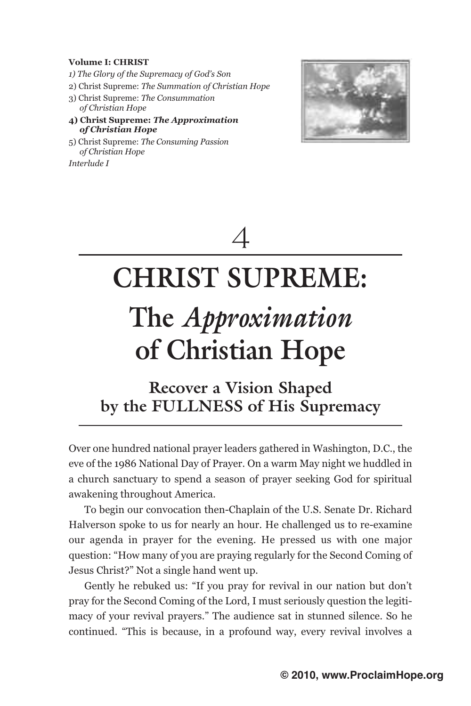#### **Volume I: CHRIST**

- *1) The Glory of the Supremacy of God's Son*
- 2) Christ Supreme: *The Summation of Christian Hope*
- 3) Christ Supreme: *The Consummation of Christian Hope*
- **4) Christ Supreme:** *The Approximation of Christian Hope*
- 5) Christ Supreme: *The Consuming Passion of Christian Hope*

*Interlude I*





# **Recover a Vision Shaped by the FULLNESS of His Supremacy**

Over one hundred national prayer leaders gathered in Washington, D.C., the eve of the 1986 National Day of Prayer. On a warm May night we huddled in a church sanctuary to spend a season of prayer seeking God for spiritual awakening throughout America.

To begin our convocation then-Chaplain of the U.S. Senate Dr. Richard Halverson spoke to us for nearly an hour. He challenged us to re-examine our agenda in prayer for the evening. He pressed us with one major question: "How many of you are praying regularly for the Second Coming of Jesus Christ?" Not a single hand went up.

Gently he rebuked us: "If you pray for revival in our nation but don't pray for the Second Coming of the Lord, I must seriously question the legitimacy of your revival prayers." The audience sat in stunned silence. So he continued. "This is because, in a profound way, every revival involves a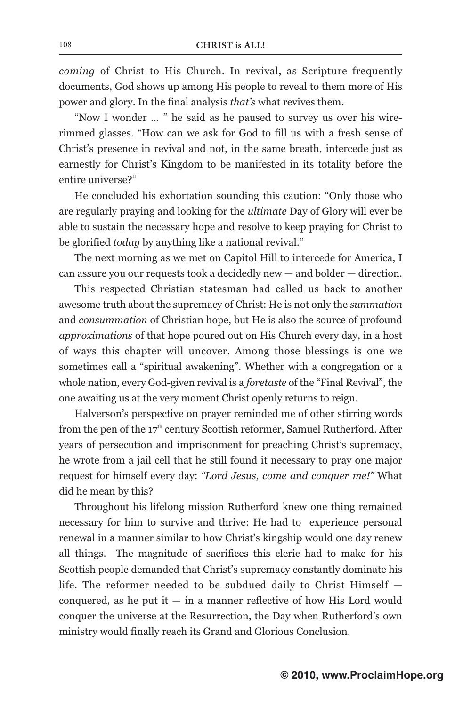*coming* of Christ to His Church. In revival, as Scripture frequently documents, God shows up among His people to reveal to them more of His power and glory. In the final analysis *that's* what revives them.

"Now I wonder … " he said as he paused to survey us over his wirerimmed glasses. "How can we ask for God to fill us with a fresh sense of Christ's presence in revival and not, in the same breath, intercede just as earnestly for Christ's Kingdom to be manifested in its totality before the entire universe?"

He concluded his exhortation sounding this caution: "Only those who are regularly praying and looking for the *ultimate* Day of Glory will ever be able to sustain the necessary hope and resolve to keep praying for Christ to be glorified *today* by anything like a national revival."

The next morning as we met on Capitol Hill to intercede for America, I can assure you our requests took a decidedly new — and bolder — direction.

This respected Christian statesman had called us back to another awesome truth about the supremacy of Christ: He is not only the *summation* and *consummation* of Christian hope, but He is also the source of profound *approximations* of that hope poured out on His Church every day, in a host of ways this chapter will uncover. Among those blessings is one we sometimes call a "spiritual awakening". Whether with a congregation or a whole nation, every God-given revival is a *foretaste* of the "Final Revival", the one awaiting us at the very moment Christ openly returns to reign.

Halverson's perspective on prayer reminded me of other stirring words from the pen of the  $17<sup>th</sup>$  century Scottish reformer, Samuel Rutherford. After years of persecution and imprisonment for preaching Christ's supremacy, he wrote from a jail cell that he still found it necessary to pray one major request for himself every day: *"Lord Jesus, come and conquer me!"* What did he mean by this?

Throughout his lifelong mission Rutherford knew one thing remained necessary for him to survive and thrive: He had to experience personal renewal in a manner similar to how Christ's kingship would one day renew all things. The magnitude of sacrifices this cleric had to make for his Scottish people demanded that Christ's supremacy constantly dominate his life. The reformer needed to be subdued daily to Christ Himself conquered, as he put it  $-$  in a manner reflective of how His Lord would conquer the universe at the Resurrection, the Day when Rutherford's own ministry would finally reach its Grand and Glorious Conclusion.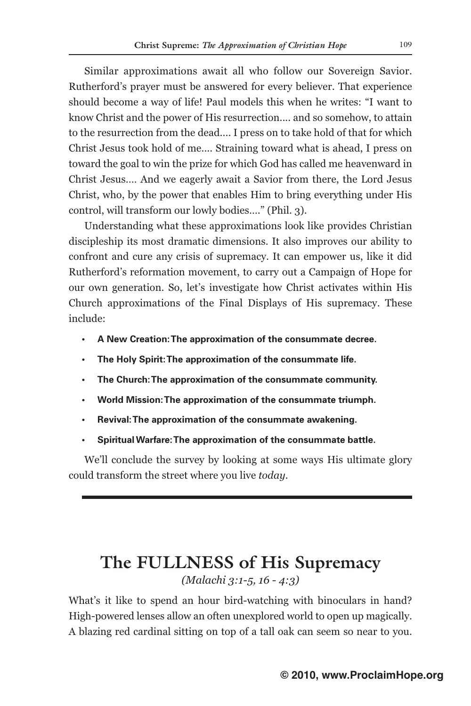Similar approximations await all who follow our Sovereign Savior. Rutherford's prayer must be answered for every believer. That experience should become a way of life! Paul models this when he writes: "I want to know Christ and the power of His resurrection.... and so somehow, to attain to the resurrection from the dead.... I press on to take hold of that for which Christ Jesus took hold of me.... Straining toward what is ahead, I press on toward the goal to win the prize for which God has called me heavenward in Christ Jesus.… And we eagerly await a Savior from there, the Lord Jesus Christ, who, by the power that enables Him to bring everything under His control, will transform our lowly bodies…." (Phil. 3).

Understanding what these approximations look like provides Christian discipleship its most dramatic dimensions. It also improves our ability to confront and cure any crisis of supremacy. It can empower us, like it did Rutherford's reformation movement, to carry out a Campaign of Hope for our own generation. So, let's investigate how Christ activates within His Church approximations of the Final Displays of His supremacy. These include:

- **• A New Creation:The approximation of the consummate decree.**
- **• The Holy Spirit:The approximation of the consummate life.**
- **• The Church:The approximation of the consummate community.**
- **• World Mission:The approximation of the consummate triumph.**
- **• Revival:The approximation of the consummate awakening.**
- **• SpiritualWarfare:The approximation of the consummate battle.**

We'll conclude the survey by looking at some ways His ultimate glory could transform the street where you live *today.*

## **The FULLNESS of His Supremacy** *(Malachi 3:1-5, 16 - 4:3)*

What's it like to spend an hour bird-watching with binoculars in hand? High-powered lenses allow an often unexplored world to open up magically. A blazing red cardinal sitting on top of a tall oak can seem so near to you.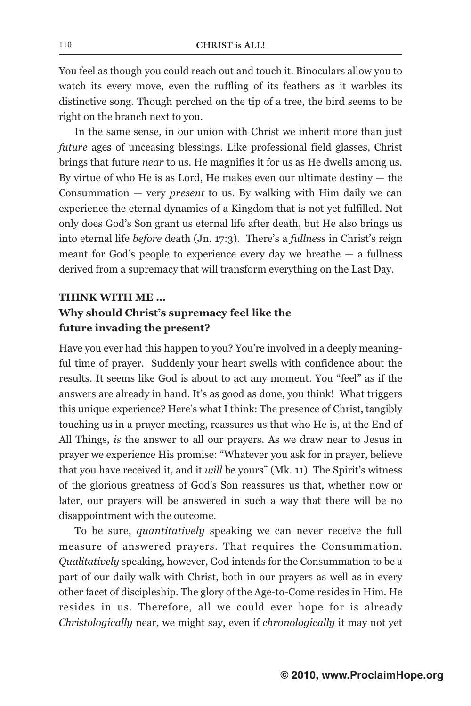You feel as though you could reach out and touch it. Binoculars allow you to watch its every move, even the ruffling of its feathers as it warbles its distinctive song. Though perched on the tip of a tree, the bird seems to be right on the branch next to you.

In the same sense, in our union with Christ we inherit more than just *future* ages of unceasing blessings. Like professional field glasses, Christ brings that future *near* to us. He magnifies it for us as He dwells among us. By virtue of who He is as Lord, He makes even our ultimate destiny  $-$  the Consummation — very *present* to us. By walking with Him daily we can experience the eternal dynamics of a Kingdom that is not yet fulfilled. Not only does God's Son grant us eternal life after death, but He also brings us into eternal life *before* death (Jn. 17:3). There's a *fullness* in Christ's reign meant for God's people to experience every day we breathe  $-$  a fullness derived from a supremacy that will transform everything on the Last Day.

### **THINK WITH ME … Why should Christ's supremacy feel like the future invading the present?**

Have you ever had this happen to you? You're involved in a deeply meaningful time of prayer. Suddenly your heart swells with confidence about the results. It seems like God is about to act any moment. You "feel" as if the answers are already in hand. It's as good as done, you think! What triggers this unique experience? Here's what I think: The presence of Christ, tangibly touching us in a prayer meeting, reassures us that who He is, at the End of All Things, *is* the answer to all our prayers. As we draw near to Jesus in prayer we experience His promise: "Whatever you ask for in prayer, believe that you have received it, and it *will* be yours" (Mk. 11). The Spirit's witness of the glorious greatness of God's Son reassures us that, whether now or later, our prayers will be answered in such a way that there will be no disappointment with the outcome.

To be sure, *quantitatively* speaking we can never receive the full measure of answered prayers. That requires the Consummation. *Qualitatively* speaking, however, God intends for the Consummation to be a part of our daily walk with Christ, both in our prayers as well as in every other facet of discipleship. The glory of the Age-to-Come resides in Him. He resides in us. Therefore, all we could ever hope for is already *Christologically* near, we might say, even if *chronologically* it may not yet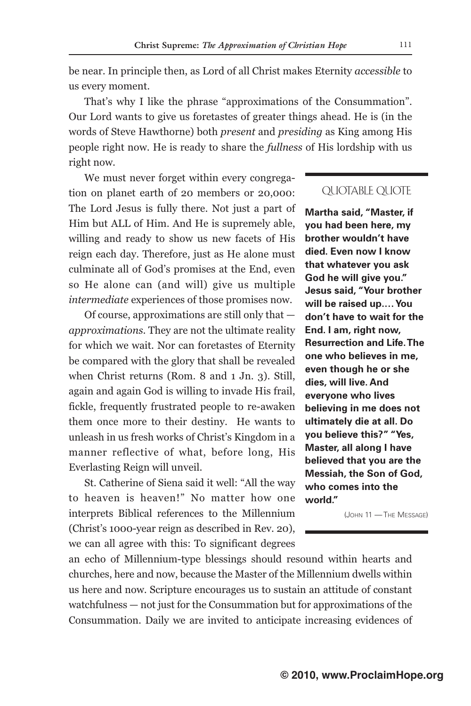be near. In principle then, as Lord of all Christ makes Eternity *accessible* to us every moment.

That's why I like the phrase "approximations of the Consummation". Our Lord wants to give us foretastes of greater things ahead. He is (in the words of Steve Hawthorne) both *present* and *presiding* as King among His people right now. He is ready to share the *fullness* of His lordship with us right now.

We must never forget within every congregation on planet earth of 20 members or 20,000: The Lord Jesus is fully there. Not just a part of Him but ALL of Him. And He is supremely able, willing and ready to show us new facets of His reign each day. Therefore, just as He alone must culminate all of God's promises at the End, even so He alone can (and will) give us multiple *intermediate* experiences of those promises now.

Of course, approximations are still only that *approximations*. They are not the ultimate reality for which we wait. Nor can foretastes of Eternity be compared with the glory that shall be revealed when Christ returns (Rom. 8 and 1 Jn. 3). Still, again and again God is willing to invade His frail, fickle, frequently frustrated people to re-awaken them once more to their destiny. He wants to unleash in us fresh works of Christ's Kingdom in a manner reflective of what, before long, His Everlasting Reign will unveil.

St. Catherine of Siena said it well: "All the way to heaven is heaven!" No matter how one interprets Biblical references to the Millennium (Christ's 1000-year reign as described in Rev. 20), we can all agree with this: To significant degrees

#### QUOTABLE QUOTE

**Martha said, "Master, if you had been here, my brother wouldn't have died. Even now I know that whatever you ask God he will give you." Jesus said, "Your brother will be raised up.…You don't have to wait for the End. I am, right now, Resurrection and Life.The one who believes in me, even though he or she dies, will live. And everyone who lives believing in me does not ultimately die at all. Do you believe this?" "Yes, Master, all along I have believed that you are the Messiah, the Son of God, who comes into the world."**

(JOHN 11 —THE MESSAGE)

an echo of Millennium-type blessings should resound within hearts and churches, here and now, because the Master of the Millennium dwells within us here and now. Scripture encourages us to sustain an attitude of constant watchfulness — not just for the Consummation but for approximations of the Consummation. Daily we are invited to anticipate increasing evidences of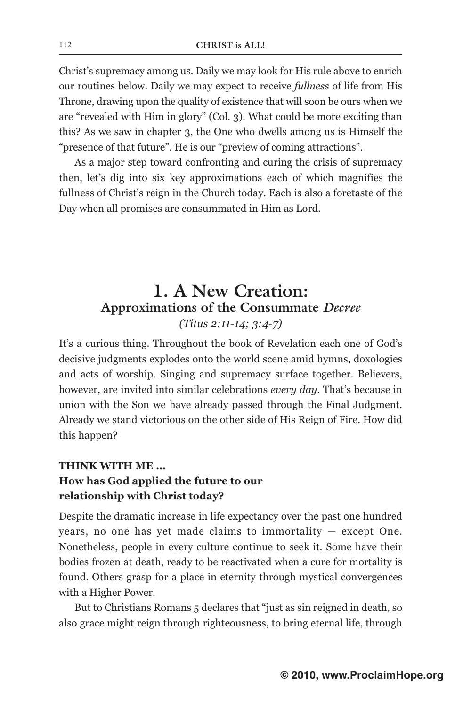Christ's supremacy among us. Daily we may look for His rule above to enrich our routines below. Daily we may expect to receive *fullness* of life from His Throne, drawing upon the quality of existence that will soon be ours when we are "revealed with Him in glory" (Col. 3). What could be more exciting than this? As we saw in chapter 3, the One who dwells among us is Himself the "presence of that future". He is our "preview of coming attractions".

As a major step toward confronting and curing the crisis of supremacy then, let's dig into six key approximations each of which magnifies the fullness of Christ's reign in the Church today. Each is also a foretaste of the Day when all promises are consummated in Him as Lord.

## **1. A New Creation: Approximations of the Consummate** *Decree (Titus 2:11-14; 3:4-7)*

It's a curious thing. Throughout the book of Revelation each one of God's decisive judgments explodes onto the world scene amid hymns, doxologies and acts of worship. Singing and supremacy surface together. Believers, however, are invited into similar celebrations *every day.* That's because in union with the Son we have already passed through the Final Judgment. Already we stand victorious on the other side of His Reign of Fire. How did this happen?

### **THINK WITH ME … How has God applied the future to our relationship with Christ today?**

Despite the dramatic increase in life expectancy over the past one hundred years, no one has yet made claims to immortality — except One. Nonetheless, people in every culture continue to seek it. Some have their bodies frozen at death, ready to be reactivated when a cure for mortality is found. Others grasp for a place in eternity through mystical convergences with a Higher Power.

But to Christians Romans 5 declares that "just as sin reigned in death, so also grace might reign through righteousness, to bring eternal life, through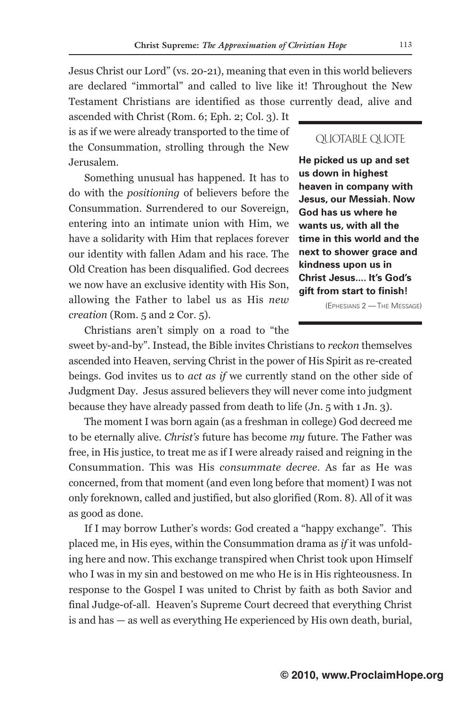Jesus Christ our Lord" (vs. 20-21), meaning that even in this world believers are declared "immortal" and called to live like it! Throughout the New Testament Christians are identified as those currently dead, alive and

ascended with Christ (Rom. 6; Eph. 2; Col. 3). It is as if we were already transported to the time of the Consummation, strolling through the New Jerusalem.

Something unusual has happened. It has to do with the *positioning* of believers before the Consummation. Surrendered to our Sovereign, entering into an intimate union with Him, we have a solidarity with Him that replaces forever our identity with fallen Adam and his race. The Old Creation has been disqualified. God decrees we now have an exclusive identity with His Son, allowing the Father to label us as His *new creation* (Rom. 5 and 2 Cor. 5).

#### QUOTABLE QUOTE

**He picked us up and set us down in highest heaven in company with Jesus, our Messiah. Now God has us where he wants us, with all the time in this world and the next to shower grace and kindness upon us in Christ Jesus.... It's God's gift from start to finish!**

(EPHESIANS 2 —THE MESSAGE)

Christians aren't simply on a road to "the

sweet by-and-by". Instead, the Bible invites Christians to *reckon* themselves ascended into Heaven, serving Christ in the power of His Spirit as re-created beings. God invites us to *act as if* we currently stand on the other side of Judgment Day. Jesus assured believers they will never come into judgment because they have already passed from death to life (Jn. 5 with 1 Jn. 3).

The moment I was born again (as a freshman in college) God decreed me to be eternally alive. *Christ's* future has become *my* future. The Father was free, in His justice, to treat me as if I were already raised and reigning in the Consummation. This was His *consummate decree.* As far as He was concerned, from that moment (and even long before that moment) I was not only foreknown, called and justified, but also glorified (Rom. 8). All of it was as good as done.

If I may borrow Luther's words: God created a "happy exchange". This placed me, in His eyes, within the Consummation drama as *if* it was unfolding here and now. This exchange transpired when Christ took upon Himself who I was in my sin and bestowed on me who He is in His righteousness. In response to the Gospel I was united to Christ by faith as both Savior and final Judge-of-all. Heaven's Supreme Court decreed that everything Christ is and has — as well as everything He experienced by His own death, burial,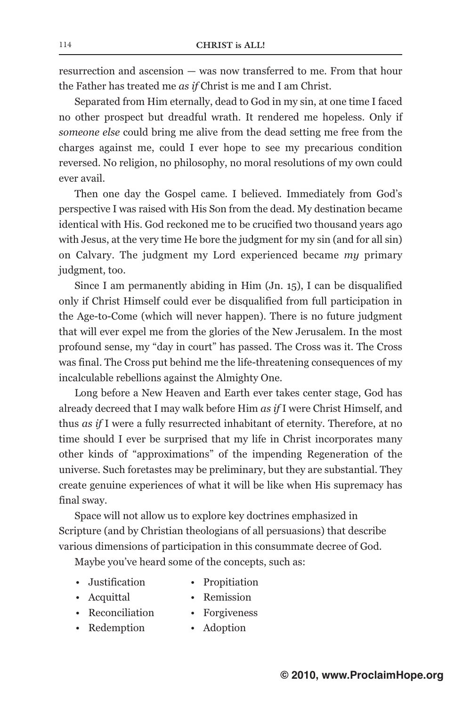resurrection and ascension — was now transferred to me. From that hour the Father has treated me *as if* Christ is me and I am Christ.

Separated from Him eternally, dead to God in my sin, at one time I faced no other prospect but dreadful wrath. It rendered me hopeless. Only if *someone else* could bring me alive from the dead setting me free from the charges against me, could I ever hope to see my precarious condition reversed. No religion, no philosophy, no moral resolutions of my own could ever avail.

Then one day the Gospel came. I believed. Immediately from God's perspective I was raised with His Son from the dead. My destination became identical with His. God reckoned me to be crucified two thousand years ago with Jesus, at the very time He bore the judgment for my sin (and for all sin) on Calvary. The judgment my Lord experienced became *my* primary judgment, too.

Since I am permanently abiding in Him (Jn. 15), I can be disqualified only if Christ Himself could ever be disqualified from full participation in the Age-to-Come (which will never happen). There is no future judgment that will ever expel me from the glories of the New Jerusalem. In the most profound sense, my "day in court" has passed. The Cross was it. The Cross was final. The Cross put behind me the life-threatening consequences of my incalculable rebellions against the Almighty One.

Long before a New Heaven and Earth ever takes center stage, God has already decreed that I may walk before Him *as if* I were Christ Himself, and thus *as if* I were a fully resurrected inhabitant of eternity. Therefore, at no time should I ever be surprised that my life in Christ incorporates many other kinds of "approximations" of the impending Regeneration of the universe. Such foretastes may be preliminary, but they are substantial. They create genuine experiences of what it will be like when His supremacy has final sway.

Space will not allow us to explore key doctrines emphasized in Scripture (and by Christian theologians of all persuasions) that describe various dimensions of participation in this consummate decree of God.

Maybe you've heard some of the concepts, such as:

- Justification
- Propitiation
- Acquittal • Remission
- Reconciliation • Forgiveness
- Redemption • Adoption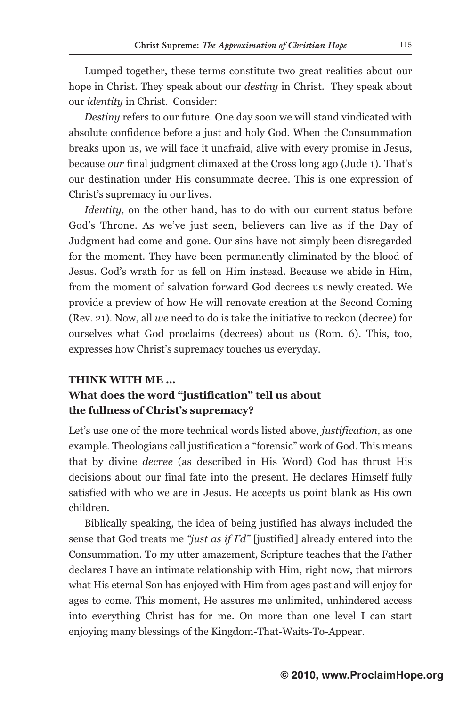Lumped together, these terms constitute two great realities about our hope in Christ. They speak about our *destiny* in Christ. They speak about our *identity* in Christ. Consider:

*Destiny* refers to our future. One day soon we will stand vindicated with absolute confidence before a just and holy God. When the Consummation breaks upon us, we will face it unafraid, alive with every promise in Jesus, because *our* final judgment climaxed at the Cross long ago (Jude 1). That's our destination under His consummate decree. This is one expression of Christ's supremacy in our lives.

*Identity,* on the other hand, has to do with our current status before God's Throne. As we've just seen, believers can live as if the Day of Judgment had come and gone. Our sins have not simply been disregarded for the moment. They have been permanently eliminated by the blood of Jesus. God's wrath for us fell on Him instead. Because we abide in Him, from the moment of salvation forward God decrees us newly created. We provide a preview of how He will renovate creation at the Second Coming (Rev. 21). Now, all *we* need to do is take the initiative to reckon (decree) for ourselves what God proclaims (decrees) about us (Rom. 6). This, too, expresses how Christ's supremacy touches us everyday.

### **THINK WITH ME … What does the word "justification" tell us about the fullness of Christ's supremacy?**

Let's use one of the more technical words listed above, *justification*, as one example. Theologians call justification a "forensic" work of God. This means that by divine *decree* (as described in His Word) God has thrust His decisions about our final fate into the present. He declares Himself fully satisfied with who we are in Jesus. He accepts us point blank as His own children.

Biblically speaking, the idea of being justified has always included the sense that God treats me *"just as if I'd"* [justified] already entered into the Consummation. To my utter amazement, Scripture teaches that the Father declares I have an intimate relationship with Him, right now, that mirrors what His eternal Son has enjoyed with Him from ages past and will enjoy for ages to come. This moment, He assures me unlimited, unhindered access into everything Christ has for me. On more than one level I can start enjoying many blessings of the Kingdom-That-Waits-To-Appear.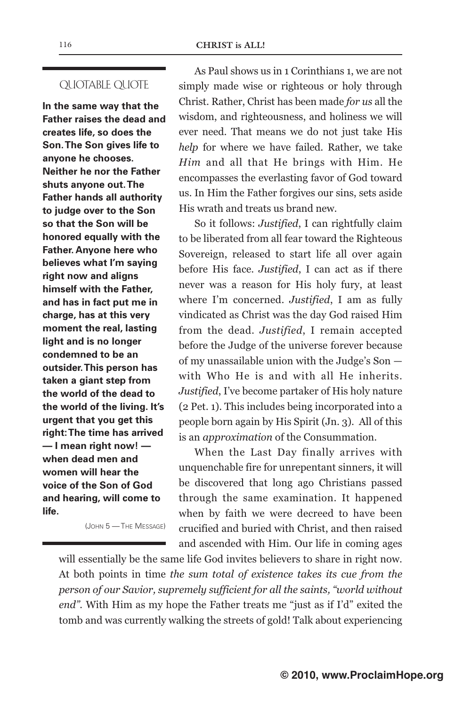#### QUOTABLE QUOTE

**In the same way that the Father raises the dead and creates life, so does the Son.The Son gives life to anyone he chooses. Neither he nor the Father shuts anyone out.The Father hands all authority to judge over to the Son so that the Son will be honored equally with the Father. Anyone here who believes what I'm saying right now and aligns himself with the Father, and has in fact put me in charge, has at this very moment the real, lasting light and is no longer condemned to be an outsider.This person has taken a giant step from the world of the dead to the world of the living. It's urgent that you get this right:The time has arrived — I mean right now! when dead men and women will hear the voice of the Son of God and hearing, will come to life.**

(JOHN 5 —THE MESSAGE)

As Paul shows us in 1 Corinthians 1, we are not simply made wise or righteous or holy through Christ. Rather, Christ has been made *for us* all the wisdom, and righteousness, and holiness we will ever need. That means we do not just take His *help* for where we have failed. Rather, we take *Him* and all that He brings with Him. He encompasses the everlasting favor of God toward us. In Him the Father forgives our sins, sets aside His wrath and treats us brand new.

So it follows: *Justified*, I can rightfully claim to be liberated from all fear toward the Righteous Sovereign, released to start life all over again before His face. *Justified*, I can act as if there never was a reason for His holy fury, at least where I'm concerned. *Justified*, I am as fully vindicated as Christ was the day God raised Him from the dead. *Justified*, I remain accepted before the Judge of the universe forever because of my unassailable union with the Judge's Son with Who He is and with all He inherits. *Justified*, I've become partaker of His holy nature (2 Pet. 1). This includes being incorporated into a people born again by His Spirit (Jn. 3). All of this is an *approximation* of the Consummation.

When the Last Day finally arrives with unquenchable fire for unrepentant sinners, it will be discovered that long ago Christians passed through the same examination. It happened when by faith we were decreed to have been crucified and buried with Christ, and then raised and ascended with Him. Our life in coming ages

will essentially be the same life God invites believers to share in right now. At both points in time *the sum total of existence takes its cue from the person of our Savior, supremely sufficient for all the saints, "world without end".* With Him as my hope the Father treats me "just as if I'd" exited the tomb and was currently walking the streets of gold! Talk about experiencing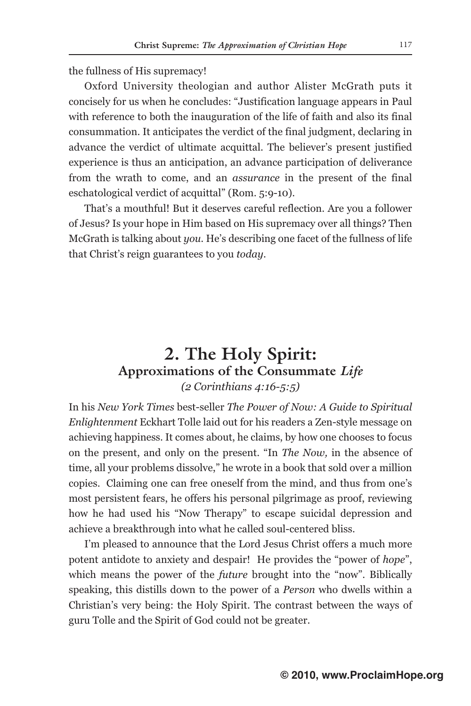the fullness of His supremacy!

Oxford University theologian and author Alister McGrath puts it concisely for us when he concludes: "Justification language appears in Paul with reference to both the inauguration of the life of faith and also its final consummation. It anticipates the verdict of the final judgment, declaring in advance the verdict of ultimate acquittal. The believer's present justified experience is thus an anticipation, an advance participation of deliverance from the wrath to come, and an *assurance* in the present of the final eschatological verdict of acquittal" (Rom. 5:9-10).

That's a mouthful! But it deserves careful reflection. Are you a follower of Jesus? Is your hope in Him based on His supremacy over all things? Then McGrath is talking about *you*. He's describing one facet of the fullness of life that Christ's reign guarantees to you *today*.

## **2. The Holy Spirit: Approximations of the Consummate** *Life (2 Corinthians 4:16-5:5)*

In his *New York Times* best-seller *The Power of Now: A Guide to Spiritual Enlightenment* Eckhart Tolle laid out for his readers a Zen-style message on achieving happiness. It comes about, he claims, by how one chooses to focus on the present, and only on the present. "In *The Now,* in the absence of time, all your problems dissolve," he wrote in a book that sold over a million copies. Claiming one can free oneself from the mind, and thus from one's most persistent fears, he offers his personal pilgrimage as proof, reviewing how he had used his "Now Therapy" to escape suicidal depression and achieve a breakthrough into what he called soul-centered bliss.

I'm pleased to announce that the Lord Jesus Christ offers a much more potent antidote to anxiety and despair! He provides the "power of *hope*", which means the power of the *future* brought into the "now". Biblically speaking, this distills down to the power of a *Person* who dwells within a Christian's very being: the Holy Spirit. The contrast between the ways of guru Tolle and the Spirit of God could not be greater.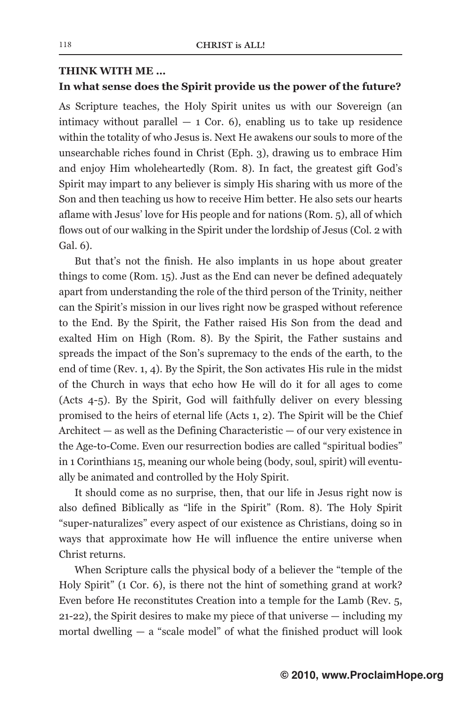#### **THINK WITH ME …**

#### **In what sense does the Spirit provide us the power of the future?**

As Scripture teaches, the Holy Spirit unites us with our Sovereign (an intimacy without parallel  $-1$  Cor. 6), enabling us to take up residence within the totality of who Jesus is. Next He awakens our souls to more of the unsearchable riches found in Christ (Eph. 3), drawing us to embrace Him and enjoy Him wholeheartedly (Rom. 8). In fact, the greatest gift God's Spirit may impart to any believer is simply His sharing with us more of the Son and then teaching us how to receive Him better. He also sets our hearts aflame with Jesus' love for His people and for nations (Rom. 5), all of which flows out of our walking in the Spirit under the lordship of Jesus (Col. 2 with Gal. 6).

But that's not the finish. He also implants in us hope about greater things to come (Rom. 15). Just as the End can never be defined adequately apart from understanding the role of the third person of the Trinity, neither can the Spirit's mission in our lives right now be grasped without reference to the End. By the Spirit, the Father raised His Son from the dead and exalted Him on High (Rom. 8). By the Spirit, the Father sustains and spreads the impact of the Son's supremacy to the ends of the earth, to the end of time (Rev. 1, 4). By the Spirit, the Son activates His rule in the midst of the Church in ways that echo how He will do it for all ages to come (Acts 4-5). By the Spirit, God will faithfully deliver on every blessing promised to the heirs of eternal life (Acts 1, 2). The Spirit will be the Chief Architect  $-$  as well as the Defining Characteristic  $-$  of our very existence in the Age-to-Come. Even our resurrection bodies are called "spiritual bodies" in 1 Corinthians 15, meaning our whole being (body, soul, spirit) will eventually be animated and controlled by the Holy Spirit.

It should come as no surprise, then, that our life in Jesus right now is also defined Biblically as "life in the Spirit" (Rom. 8). The Holy Spirit "super-naturalizes" every aspect of our existence as Christians, doing so in ways that approximate how He will influence the entire universe when Christ returns.

When Scripture calls the physical body of a believer the "temple of the Holy Spirit" (1 Cor. 6), is there not the hint of something grand at work? Even before He reconstitutes Creation into a temple for the Lamb (Rev. 5, 21-22), the Spirit desires to make my piece of that universe — including my mortal dwelling — a "scale model" of what the finished product will look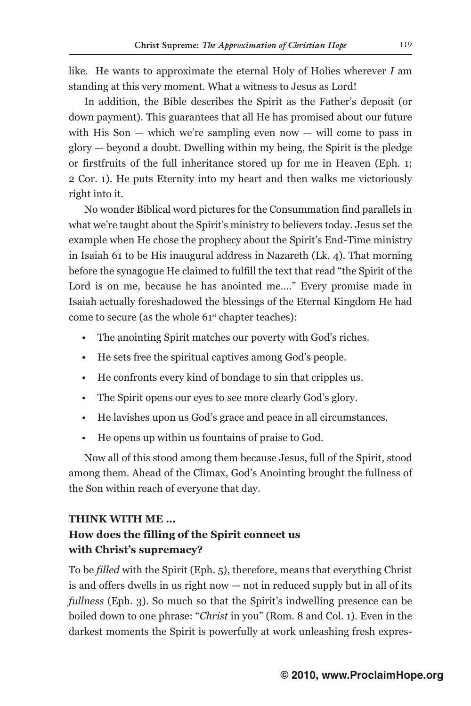like. He wants to approximate the eternal Holy of Holies wherever *I* am standing at this very moment. What a witness to Jesus as Lord!

In addition, the Bible describes the Spirit as the Father's deposit (or down payment). This guarantees that all He has promised about our future with His Son  $-$  which we're sampling even now  $-$  will come to pass in glory — beyond a doubt. Dwelling within my being, the Spirit is the pledge or firstfruits of the full inheritance stored up for me in Heaven (Eph. 1; 2 Cor. 1). He puts Eternity into my heart and then walks me victoriously right into it.

No wonder Biblical word pictures for the Consummation find parallels in what we're taught about the Spirit's ministry to believers today. Jesus set the example when He chose the prophecy about the Spirit's End-Time ministry in Isaiah 61 to be His inaugural address in Nazareth (Lk. 4). That morning before the synagogue He claimed to fulfill the text that read "the Spirit of the Lord is on me, because he has anointed me…." Every promise made in Isaiah actually foreshadowed the blessings of the Eternal Kingdom He had come to secure (as the whole  $61<sup>st</sup>$  chapter teaches):

- The anointing Spirit matches our poverty with God's riches.
- He sets free the spiritual captives among God's people.
- He confronts every kind of bondage to sin that cripples us.
- The Spirit opens our eyes to see more clearly God's glory.
- He lavishes upon us God's grace and peace in all circumstances.
- He opens up within us fountains of praise to God.

Now all of this stood among them because Jesus, full of the Spirit, stood among them. Ahead of the Climax, God's Anointing brought the fullness of the Son within reach of everyone that day.

### **THINK WITH ME … How does the filling of the Spirit connect us with Christ's supremacy?**

To be *filled* with the Spirit (Eph. 5), therefore, means that everything Christ is and offers dwells in us right now — not in reduced supply but in all of its *fullness* (Eph. 3). So much so that the Spirit's indwelling presence can be boiled down to one phrase: "*Christ* in you" (Rom. 8 and Col. 1). Even in the darkest moments the Spirit is powerfully at work unleashing fresh expres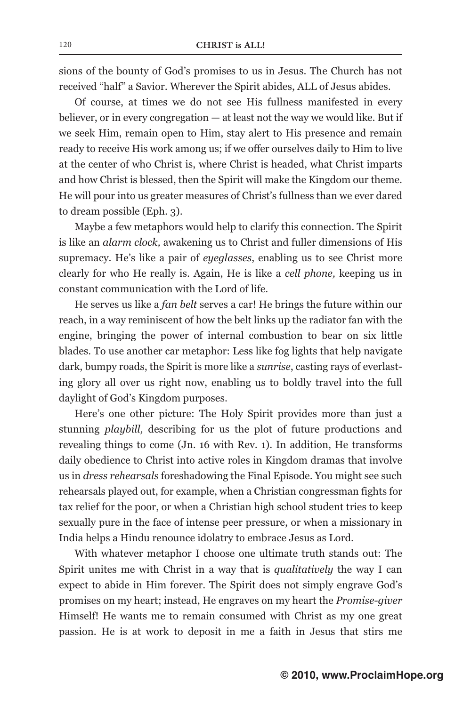sions of the bounty of God's promises to us in Jesus. The Church has not received "half" a Savior. Wherever the Spirit abides, ALL of Jesus abides.

Of course, at times we do not see His fullness manifested in every believer, or in every congregation — at least not the way we would like. But if we seek Him, remain open to Him, stay alert to His presence and remain ready to receive His work among us; if we offer ourselves daily to Him to live at the center of who Christ is, where Christ is headed, what Christ imparts and how Christ is blessed, then the Spirit will make the Kingdom our theme. He will pour into us greater measures of Christ's fullness than we ever dared to dream possible (Eph. 3).

Maybe a few metaphors would help to clarify this connection. The Spirit is like an *alarm clock,* awakening us to Christ and fuller dimensions of His supremacy. He's like a pair of *eyeglasses*, enabling us to see Christ more clearly for who He really is. Again, He is like a *cell phone,* keeping us in constant communication with the Lord of life.

He serves us like a *fan belt* serves a car! He brings the future within our reach, in a way reminiscent of how the belt links up the radiator fan with the engine, bringing the power of internal combustion to bear on six little blades. To use another car metaphor: Less like fog lights that help navigate dark, bumpy roads, the Spirit is more like a *sunrise*, casting rays of everlasting glory all over us right now, enabling us to boldly travel into the full daylight of God's Kingdom purposes.

Here's one other picture: The Holy Spirit provides more than just a stunning *playbill,* describing for us the plot of future productions and revealing things to come (Jn. 16 with Rev. 1). In addition, He transforms daily obedience to Christ into active roles in Kingdom dramas that involve us in *dress rehearsals* foreshadowing the Final Episode. You might see such rehearsals played out, for example, when a Christian congressman fights for tax relief for the poor, or when a Christian high school student tries to keep sexually pure in the face of intense peer pressure, or when a missionary in India helps a Hindu renounce idolatry to embrace Jesus as Lord.

With whatever metaphor I choose one ultimate truth stands out: The Spirit unites me with Christ in a way that is *qualitatively* the way I can expect to abide in Him forever. The Spirit does not simply engrave God's promises on my heart; instead, He engraves on my heart the *Promise-giver* Himself! He wants me to remain consumed with Christ as my one great passion. He is at work to deposit in me a faith in Jesus that stirs me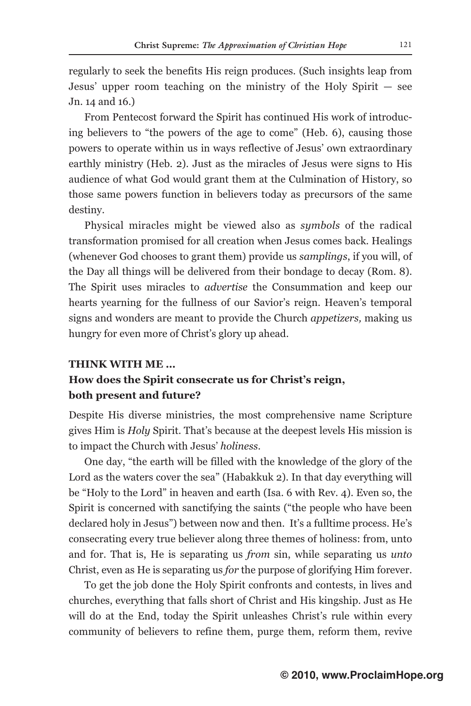regularly to seek the benefits His reign produces. (Such insights leap from Jesus' upper room teaching on the ministry of the Holy Spirit — see Jn. 14 and 16.)

From Pentecost forward the Spirit has continued His work of introducing believers to "the powers of the age to come" (Heb. 6), causing those powers to operate within us in ways reflective of Jesus' own extraordinary earthly ministry (Heb. 2). Just as the miracles of Jesus were signs to His audience of what God would grant them at the Culmination of History, so those same powers function in believers today as precursors of the same destiny.

Physical miracles might be viewed also as *symbols* of the radical transformation promised for all creation when Jesus comes back. Healings (whenever God chooses to grant them) provide us *samplings*, if you will, of the Day all things will be delivered from their bondage to decay (Rom. 8). The Spirit uses miracles to *advertise* the Consummation and keep our hearts yearning for the fullness of our Savior's reign. Heaven's temporal signs and wonders are meant to provide the Church *appetizers,* making us hungry for even more of Christ's glory up ahead.

#### **THINK WITH ME …**

### **How does the Spirit consecrate us for Christ's reign, both present and future?**

Despite His diverse ministries, the most comprehensive name Scripture gives Him is *Holy* Spirit. That's because at the deepest levels His mission is to impact the Church with Jesus' *holiness*.

One day, "the earth will be filled with the knowledge of the glory of the Lord as the waters cover the sea" (Habakkuk 2). In that day everything will be "Holy to the Lord" in heaven and earth (Isa. 6 with Rev. 4). Even so, the Spirit is concerned with sanctifying the saints ("the people who have been declared holy in Jesus") between now and then. It's a fulltime process. He's consecrating every true believer along three themes of holiness: from, unto and for. That is, He is separating us *from* sin, while separating us *unto* Christ, even as He is separating us *for* the purpose of glorifying Him forever.

To get the job done the Holy Spirit confronts and contests, in lives and churches, everything that falls short of Christ and His kingship. Just as He will do at the End, today the Spirit unleashes Christ's rule within every community of believers to refine them, purge them, reform them, revive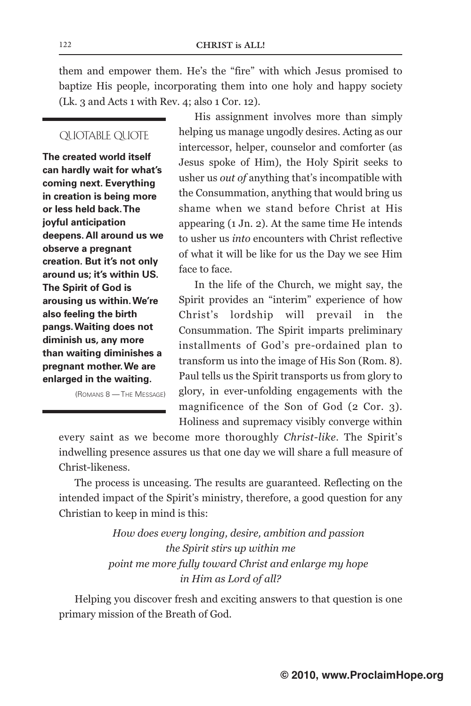them and empower them. He's the "fire" with which Jesus promised to baptize His people, incorporating them into one holy and happy society (Lk. 3 and Acts 1 with Rev. 4; also 1 Cor. 12).

### QUOTABLE QUOTE

**The created world itself can hardly wait for what's coming next. Everything in creation is being more or less held back.The joyful anticipation deepens. All around us we observe a pregnant creation. But it's not only around us; it's within US. The Spirit of God is arousing us within.We're also feeling the birth pangs.Waiting does not diminish us, any more than waiting diminishes a pregnant mother.We are enlarged in the waiting.**

(ROMANS 8 —THE MESSAGE)

His assignment involves more than simply helping us manage ungodly desires. Acting as our intercessor, helper, counselor and comforter (as Jesus spoke of Him), the Holy Spirit seeks to usher us *out of* anything that's incompatible with the Consummation, anything that would bring us shame when we stand before Christ at His appearing (1 Jn. 2). At the same time He intends to usher us *into* encounters with Christ reflective of what it will be like for us the Day we see Him face to face.

In the life of the Church, we might say, the Spirit provides an "interim" experience of how Christ's lordship will prevail in the Consummation. The Spirit imparts preliminary installments of God's pre-ordained plan to transform us into the image of His Son (Rom. 8). Paul tells us the Spirit transports us from glory to glory, in ever-unfolding engagements with the magnificence of the Son of God (2 Cor. 3). Holiness and supremacy visibly converge within

every saint as we become more thoroughly *Christ-like.* The Spirit's indwelling presence assures us that one day we will share a full measure of Christ-likeness.

The process is unceasing. The results are guaranteed. Reflecting on the intended impact of the Spirit's ministry, therefore, a good question for any Christian to keep in mind is this:

> *How does every longing, desire, ambition and passion the Spirit stirs up within me point me more fully toward Christ and enlarge my hope in Him as Lord of all?*

Helping you discover fresh and exciting answers to that question is one primary mission of the Breath of God.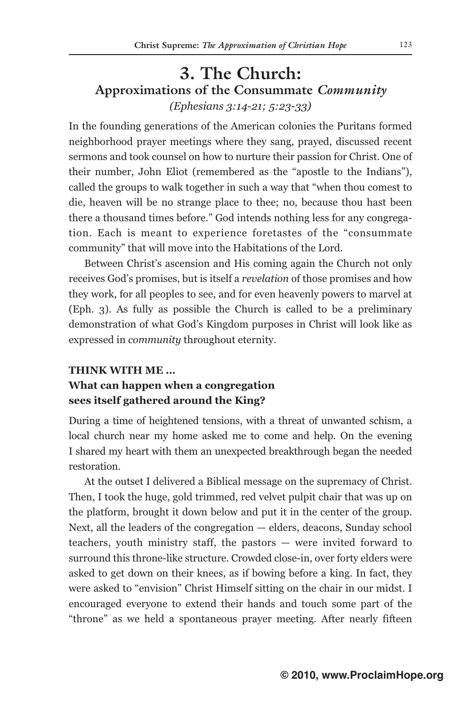## **3. The Church: Approximations of the Consummate** *Community (Ephesians 3:14-21; 5:23-33)*

In the founding generations of the American colonies the Puritans formed neighborhood prayer meetings where they sang, prayed, discussed recent sermons and took counsel on how to nurture their passion for Christ. One of their number, John Eliot (remembered as the "apostle to the Indians"), called the groups to walk together in such a way that "when thou comest to die, heaven will be no strange place to thee; no, because thou hast been there a thousand times before." God intends nothing less for any congregation. Each is meant to experience foretastes of the "consummate community" that will move into the Habitations of the Lord.

Between Christ's ascension and His coming again the Church not only receives God's promises, but is itself a *revelation* of those promises and how they work, for all peoples to see, and for even heavenly powers to marvel at (Eph. 3). As fully as possible the Church is called to be a preliminary demonstration of what God's Kingdom purposes in Christ will look like as expressed in *community* throughout eternity.

#### **THINK WITH ME …**

### **What can happen when a congregation sees itself gathered around the King?**

During a time of heightened tensions, with a threat of unwanted schism, a local church near my home asked me to come and help. On the evening I shared my heart with them an unexpected breakthrough began the needed restoration.

At the outset I delivered a Biblical message on the supremacy of Christ. Then, I took the huge, gold trimmed, red velvet pulpit chair that was up on the platform, brought it down below and put it in the center of the group. Next, all the leaders of the congregation — elders, deacons, Sunday school teachers, youth ministry staff, the pastors — were invited forward to surround this throne-like structure. Crowded close-in, over forty elders were asked to get down on their knees, as if bowing before a king. In fact, they were asked to "envision" Christ Himself sitting on the chair in our midst. I encouraged everyone to extend their hands and touch some part of the "throne" as we held a spontaneous prayer meeting. After nearly fifteen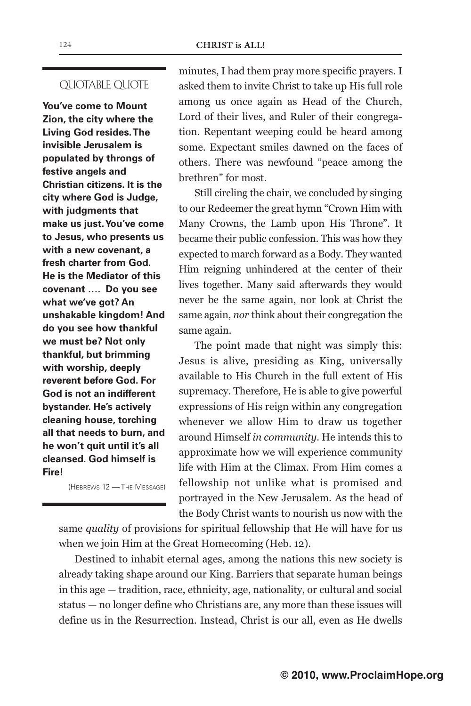#### QUOTABLE QUOTE

**You've come to Mount Zion, the city where the Living God resides.The invisible Jerusalem is populated by throngs of festive angels and Christian citizens. It is the city where God is Judge, with judgments that make us just.You've come to Jesus, who presents us with a new covenant, a fresh charter from God. He is the Mediator of this covenant …. Do you see what we've got? An unshakable kingdom! And do you see how thankful we must be? Not only thankful, but brimming with worship, deeply reverent before God. For God is not an indifferent bystander. He's actively cleaning house, torching all that needs to burn, and he won't quit until it's all cleansed. God himself is Fire!**

(HEBREWS 12 —THE MESSAGE)

minutes, I had them pray more specific prayers. I asked them to invite Christ to take up His full role among us once again as Head of the Church, Lord of their lives, and Ruler of their congregation. Repentant weeping could be heard among some. Expectant smiles dawned on the faces of others. There was newfound "peace among the brethren" for most.

Still circling the chair, we concluded by singing to our Redeemer the great hymn "Crown Him with Many Crowns, the Lamb upon His Throne". It became their public confession. This was how they expected to march forward as a Body. They wanted Him reigning unhindered at the center of their lives together. Many said afterwards they would never be the same again, nor look at Christ the same again, *nor* think about their congregation the same again.

The point made that night was simply this: Jesus is alive, presiding as King, universally available to His Church in the full extent of His supremacy. Therefore, He is able to give powerful expressions of His reign within any congregation whenever we allow Him to draw us together around Himself *in community.* He intends this to approximate how we will experience community life with Him at the Climax. From Him comes a fellowship not unlike what is promised and portrayed in the New Jerusalem. As the head of the Body Christ wants to nourish us now with the

same *quality* of provisions for spiritual fellowship that He will have for us when we join Him at the Great Homecoming (Heb. 12).

Destined to inhabit eternal ages, among the nations this new society is already taking shape around our King. Barriers that separate human beings in this age — tradition, race, ethnicity, age, nationality, or cultural and social status — no longer define who Christians are, any more than these issues will define us in the Resurrection. Instead, Christ is our all, even as He dwells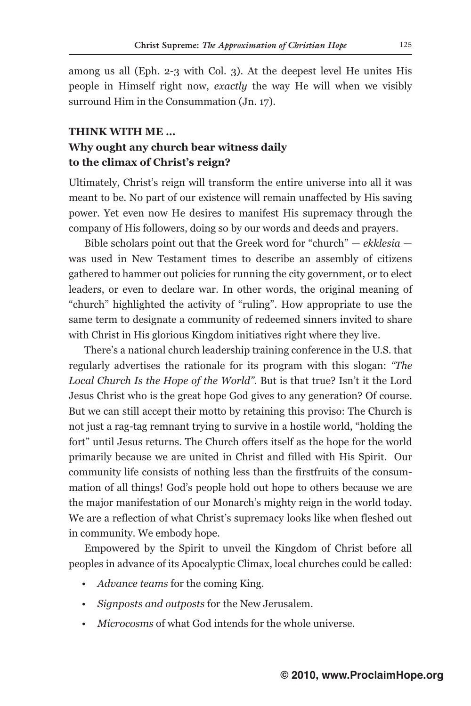among us all (Eph. 2-3 with Col. 3). At the deepest level He unites His people in Himself right now, *exactly* the way He will when we visibly surround Him in the Consummation (Jn. 17).

### **THINK WITH ME … Why ought any church bear witness daily to the climax of Christ's reign?**

Ultimately, Christ's reign will transform the entire universe into all it was meant to be. No part of our existence will remain unaffected by His saving power. Yet even now He desires to manifest His supremacy through the company of His followers, doing so by our words and deeds and prayers.

Bible scholars point out that the Greek word for "church" — *ekklesia* was used in New Testament times to describe an assembly of citizens gathered to hammer out policies for running the city government, or to elect leaders, or even to declare war. In other words, the original meaning of "church" highlighted the activity of "ruling". How appropriate to use the same term to designate a community of redeemed sinners invited to share with Christ in His glorious Kingdom initiatives right where they live.

There's a national church leadership training conference in the U.S. that regularly advertises the rationale for its program with this slogan: *"The Local Church Is the Hope of the World".* But is that true? Isn't it the Lord Jesus Christ who is the great hope God gives to any generation? Of course. But we can still accept their motto by retaining this proviso: The Church is not just a rag-tag remnant trying to survive in a hostile world, "holding the fort" until Jesus returns. The Church offers itself as the hope for the world primarily because we are united in Christ and filled with His Spirit. Our community life consists of nothing less than the firstfruits of the consummation of all things! God's people hold out hope to others because we are the major manifestation of our Monarch's mighty reign in the world today. We are a reflection of what Christ's supremacy looks like when fleshed out in community. We embody hope.

Empowered by the Spirit to unveil the Kingdom of Christ before all peoples in advance of its Apocalyptic Climax, local churches could be called:

- *Advance teams* for the coming King.
- *Signposts and outposts* for the New Jerusalem.
- *Microcosms* of what God intends for the whole universe.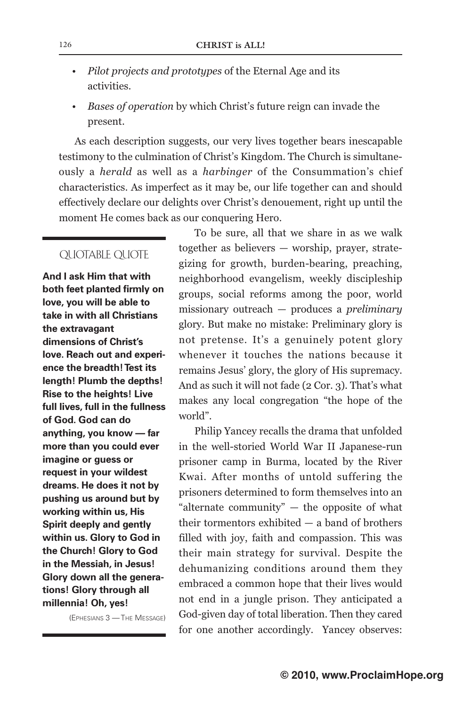- *Pilot projects and prototypes* of the Eternal Age and its activities.
- *Bases of operation* by which Christ's future reign can invade the present.

As each description suggests, our very lives together bears inescapable testimony to the culmination of Christ's Kingdom. The Church is simultaneously a *herald* as well as a *harbinger* of the Consummation's chief characteristics. As imperfect as it may be, our life together can and should effectively declare our delights over Christ's denouement, right up until the moment He comes back as our conquering Hero.

### QUOTABLE QUOTE

**And I ask Him that with both feet planted firmly on love, you will be able to take in with all Christians the extravagant dimensions of Christ's love. Reach out and experience the breadth!Test its length! Plumb the depths! Rise to the heights! Live full lives, full in the fullness of God. God can do anything, you know — far more than you could ever imagine or guess or request in your wildest dreams. He does it not by pushing us around but by working within us, His Spirit deeply and gently within us. Glory to God in the Church! Glory to God in the Messiah, in Jesus! Glory down all the generations! Glory through all millennia! Oh, yes!**

(EPHESIANS 3 —THE MESSAGE)

To be sure, all that we share in as we walk together as believers — worship, prayer, strategizing for growth, burden-bearing, preaching, neighborhood evangelism, weekly discipleship groups, social reforms among the poor, world missionary outreach — produces a *preliminary* glory. But make no mistake: Preliminary glory is not pretense. It's a genuinely potent glory whenever it touches the nations because it remains Jesus' glory, the glory of His supremacy. And as such it will not fade (2 Cor. 3). That's what makes any local congregation "the hope of the world".

Philip Yancey recalls the drama that unfolded in the well-storied World War II Japanese-run prisoner camp in Burma, located by the River Kwai. After months of untold suffering the prisoners determined to form themselves into an "alternate community"  $-$  the opposite of what their tormentors exhibited — a band of brothers filled with joy, faith and compassion. This was their main strategy for survival. Despite the dehumanizing conditions around them they embraced a common hope that their lives would not end in a jungle prison. They anticipated a God-given day of total liberation. Then they cared for one another accordingly. Yancey observes: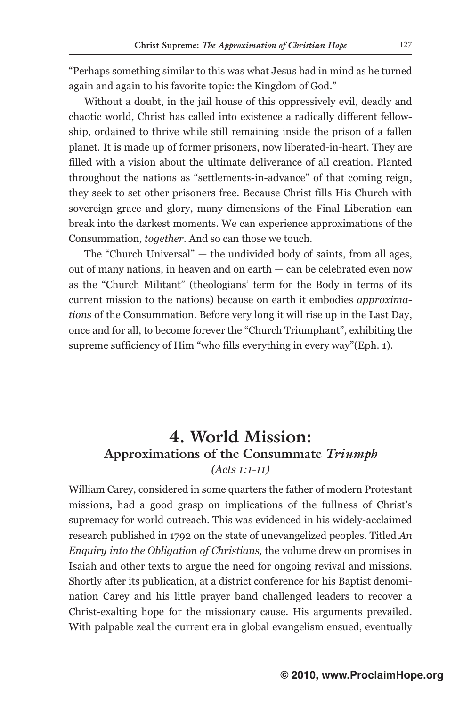"Perhaps something similar to this was what Jesus had in mind as he turned again and again to his favorite topic: the Kingdom of God."

Without a doubt, in the jail house of this oppressively evil, deadly and chaotic world, Christ has called into existence a radically different fellowship, ordained to thrive while still remaining inside the prison of a fallen planet. It is made up of former prisoners, now liberated-in-heart. They are filled with a vision about the ultimate deliverance of all creation. Planted throughout the nations as "settlements-in-advance" of that coming reign, they seek to set other prisoners free. Because Christ fills His Church with sovereign grace and glory, many dimensions of the Final Liberation can break into the darkest moments. We can experience approximations of the Consummation, *together*. And so can those we touch.

The "Church Universal" — the undivided body of saints, from all ages, out of many nations, in heaven and on earth — can be celebrated even now as the "Church Militant" (theologians' term for the Body in terms of its current mission to the nations) because on earth it embodies *approximations* of the Consummation. Before very long it will rise up in the Last Day, once and for all, to become forever the "Church Triumphant", exhibiting the supreme sufficiency of Him "who fills everything in every way"(Eph. 1).

## **4. World Mission: Approximations of the Consummate** *Triumph (Acts 1:1-11)*

William Carey, considered in some quarters the father of modern Protestant missions, had a good grasp on implications of the fullness of Christ's supremacy for world outreach. This was evidenced in his widely-acclaimed research published in 1792 on the state of unevangelized peoples. Titled *An Enquiry into the Obligation of Christians,* the volume drew on promises in Isaiah and other texts to argue the need for ongoing revival and missions. Shortly after its publication, at a district conference for his Baptist denomination Carey and his little prayer band challenged leaders to recover a Christ-exalting hope for the missionary cause. His arguments prevailed. With palpable zeal the current era in global evangelism ensued, eventually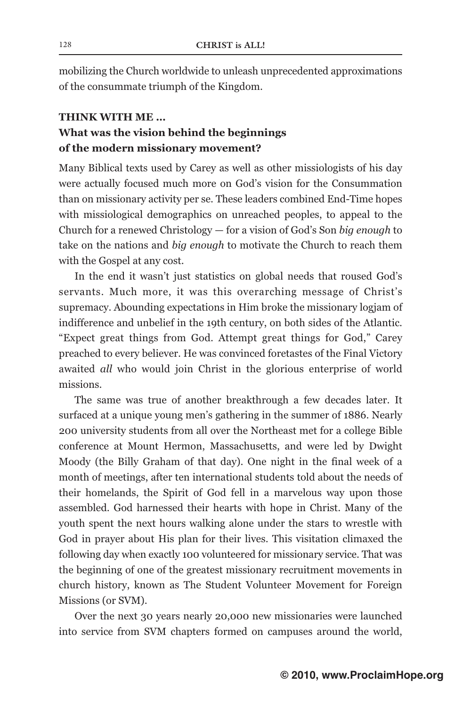mobilizing the Church worldwide to unleash unprecedented approximations of the consummate triumph of the Kingdom.

### **THINK WITH ME … What was the vision behind the beginnings of the modern missionary movement?**

Many Biblical texts used by Carey as well as other missiologists of his day were actually focused much more on God's vision for the Consummation than on missionary activity per se. These leaders combined End-Time hopes with missiological demographics on unreached peoples, to appeal to the Church for a renewed Christology — for a vision of God's Son *big enough* to take on the nations and *big enough* to motivate the Church to reach them with the Gospel at any cost.

In the end it wasn't just statistics on global needs that roused God's servants. Much more, it was this overarching message of Christ's supremacy. Abounding expectations in Him broke the missionary logjam of indifference and unbelief in the 19th century, on both sides of the Atlantic. "Expect great things from God. Attempt great things for God," Carey preached to every believer. He was convinced foretastes of the Final Victory awaited *all* who would join Christ in the glorious enterprise of world missions.

The same was true of another breakthrough a few decades later. It surfaced at a unique young men's gathering in the summer of 1886. Nearly 200 university students from all over the Northeast met for a college Bible conference at Mount Hermon, Massachusetts, and were led by Dwight Moody (the Billy Graham of that day). One night in the final week of a month of meetings, after ten international students told about the needs of their homelands, the Spirit of God fell in a marvelous way upon those assembled. God harnessed their hearts with hope in Christ. Many of the youth spent the next hours walking alone under the stars to wrestle with God in prayer about His plan for their lives. This visitation climaxed the following day when exactly 100 volunteered for missionary service. That was the beginning of one of the greatest missionary recruitment movements in church history, known as The Student Volunteer Movement for Foreign Missions (or SVM).

Over the next 30 years nearly 20,000 new missionaries were launched into service from SVM chapters formed on campuses around the world,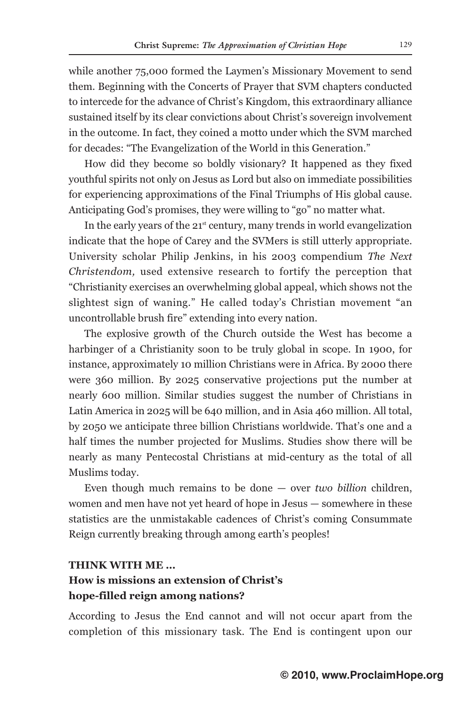while another 75,000 formed the Laymen's Missionary Movement to send them. Beginning with the Concerts of Prayer that SVM chapters conducted to intercede for the advance of Christ's Kingdom, this extraordinary alliance sustained itself by its clear convictions about Christ's sovereign involvement in the outcome. In fact, they coined a motto under which the SVM marched for decades: "The Evangelization of the World in this Generation."

How did they become so boldly visionary? It happened as they fixed youthful spirits not only on Jesus as Lord but also on immediate possibilities for experiencing approximations of the Final Triumphs of His global cause. Anticipating God's promises, they were willing to "go" no matter what.

In the early years of the  $21<sup>st</sup>$  century, many trends in world evangelization indicate that the hope of Carey and the SVMers is still utterly appropriate. University scholar Philip Jenkins, in his 2003 compendium *The Next Christendom,* used extensive research to fortify the perception that "Christianity exercises an overwhelming global appeal, which shows not the slightest sign of waning." He called today's Christian movement "an uncontrollable brush fire" extending into every nation.

The explosive growth of the Church outside the West has become a harbinger of a Christianity soon to be truly global in scope. In 1900, for instance, approximately 10 million Christians were in Africa. By 2000 there were 360 million. By 2025 conservative projections put the number at nearly 600 million. Similar studies suggest the number of Christians in Latin America in 2025 will be 640 million, and in Asia 460 million. All total, by 2050 we anticipate three billion Christians worldwide. That's one and a half times the number projected for Muslims. Studies show there will be nearly as many Pentecostal Christians at mid-century as the total of all Muslims today.

Even though much remains to be done — over *two billion* children, women and men have not yet heard of hope in Jesus — somewhere in these statistics are the unmistakable cadences of Christ's coming Consummate Reign currently breaking through among earth's peoples!

#### **THINK WITH ME …**

### **How is missions an extension of Christ's hope-filled reign among nations?**

According to Jesus the End cannot and will not occur apart from the completion of this missionary task. The End is contingent upon our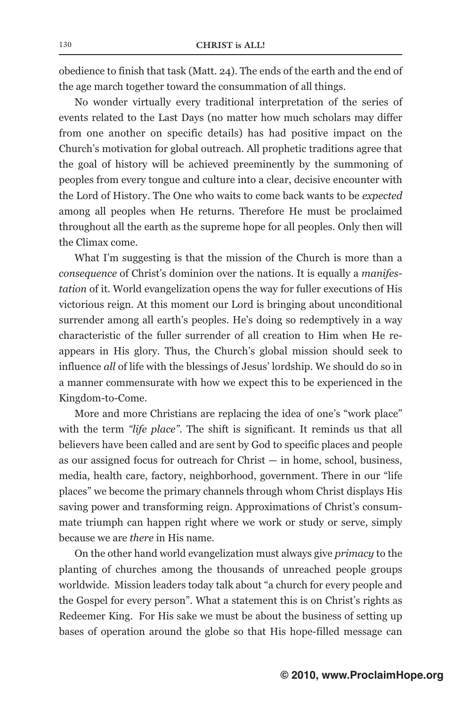obedience to finish that task (Matt. 24). The ends of the earth and the end of the age march together toward the consummation of all things.

No wonder virtually every traditional interpretation of the series of events related to the Last Days (no matter how much scholars may differ from one another on specific details) has had positive impact on the Church's motivation for global outreach. All prophetic traditions agree that the goal of history will be achieved preeminently by the summoning of peoples from every tongue and culture into a clear, decisive encounter with the Lord of History. The One who waits to come back wants to be *expected* among all peoples when He returns. Therefore He must be proclaimed throughout all the earth as the supreme hope for all peoples. Only then will the Climax come.

What I'm suggesting is that the mission of the Church is more than a *consequence* of Christ's dominion over the nations. It is equally a *manifestation* of it. World evangelization opens the way for fuller executions of His victorious reign. At this moment our Lord is bringing about unconditional surrender among all earth's peoples. He's doing so redemptively in a way characteristic of the fuller surrender of all creation to Him when He reappears in His glory. Thus, the Church's global mission should seek to influence *all* of life with the blessings of Jesus' lordship. We should do so in a manner commensurate with how we expect this to be experienced in the Kingdom-to-Come.

More and more Christians are replacing the idea of one's "work place" with the term *"life place".* The shift is significant. It reminds us that all believers have been called and are sent by God to specific places and people as our assigned focus for outreach for Christ — in home, school, business, media, health care, factory, neighborhood, government. There in our "life places" we become the primary channels through whom Christ displays His saving power and transforming reign. Approximations of Christ's consummate triumph can happen right where we work or study or serve, simply because we are *there* in His name.

On the other hand world evangelization must always give *primacy* to the planting of churches among the thousands of unreached people groups worldwide. Mission leaders today talk about "a church for every people and the Gospel for every person". What a statement this is on Christ's rights as Redeemer King. For His sake we must be about the business of setting up bases of operation around the globe so that His hope-filled message can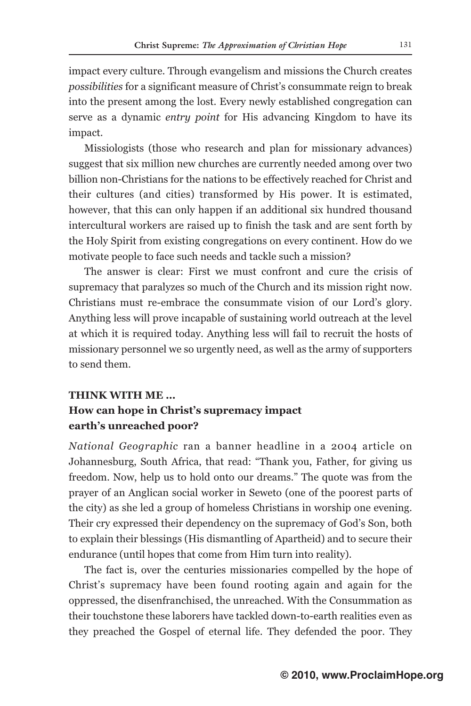impact every culture. Through evangelism and missions the Church creates *possibilities* for a significant measure of Christ's consummate reign to break into the present among the lost. Every newly established congregation can serve as a dynamic *entry point* for His advancing Kingdom to have its impact.

Missiologists (those who research and plan for missionary advances) suggest that six million new churches are currently needed among over two billion non-Christians for the nations to be effectively reached for Christ and their cultures (and cities) transformed by His power. It is estimated, however, that this can only happen if an additional six hundred thousand intercultural workers are raised up to finish the task and are sent forth by the Holy Spirit from existing congregations on every continent. How do we motivate people to face such needs and tackle such a mission?

The answer is clear: First we must confront and cure the crisis of supremacy that paralyzes so much of the Church and its mission right now. Christians must re-embrace the consummate vision of our Lord's glory. Anything less will prove incapable of sustaining world outreach at the level at which it is required today. Anything less will fail to recruit the hosts of missionary personnel we so urgently need, as well as the army of supporters to send them.

### **THINK WITH ME … How can hope in Christ's supremacy impact earth's unreached poor?**

*National Geographic* ran a banner headline in a 2004 article on Johannesburg, South Africa, that read: "Thank you, Father, for giving us freedom. Now, help us to hold onto our dreams." The quote was from the prayer of an Anglican social worker in Seweto (one of the poorest parts of the city) as she led a group of homeless Christians in worship one evening. Their cry expressed their dependency on the supremacy of God's Son, both to explain their blessings (His dismantling of Apartheid) and to secure their endurance (until hopes that come from Him turn into reality).

The fact is, over the centuries missionaries compelled by the hope of Christ's supremacy have been found rooting again and again for the oppressed, the disenfranchised, the unreached. With the Consummation as their touchstone these laborers have tackled down-to-earth realities even as they preached the Gospel of eternal life. They defended the poor. They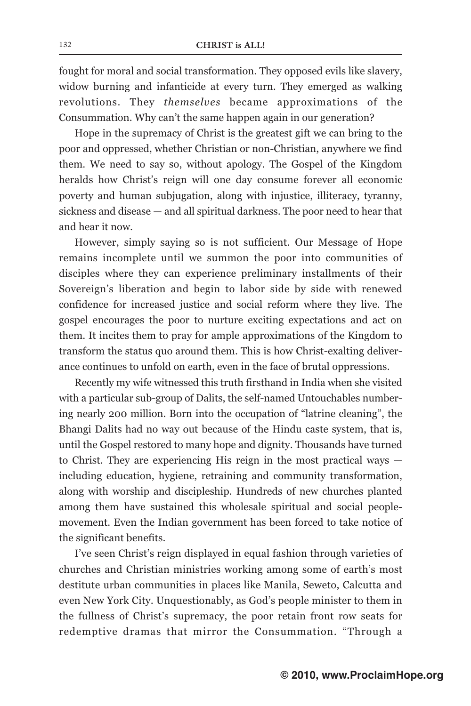fought for moral and social transformation. They opposed evils like slavery, widow burning and infanticide at every turn. They emerged as walking revolutions. They *themselves* became approximations of the Consummation. Why can't the same happen again in our generation?

Hope in the supremacy of Christ is the greatest gift we can bring to the poor and oppressed, whether Christian or non-Christian, anywhere we find them. We need to say so, without apology. The Gospel of the Kingdom heralds how Christ's reign will one day consume forever all economic poverty and human subjugation, along with injustice, illiteracy, tyranny, sickness and disease — and all spiritual darkness. The poor need to hear that and hear it now.

However, simply saying so is not sufficient. Our Message of Hope remains incomplete until we summon the poor into communities of disciples where they can experience preliminary installments of their Sovereign's liberation and begin to labor side by side with renewed confidence for increased justice and social reform where they live. The gospel encourages the poor to nurture exciting expectations and act on them. It incites them to pray for ample approximations of the Kingdom to transform the status quo around them. This is how Christ-exalting deliverance continues to unfold on earth, even in the face of brutal oppressions.

Recently my wife witnessed this truth firsthand in India when she visited with a particular sub-group of Dalits, the self-named Untouchables numbering nearly 200 million. Born into the occupation of "latrine cleaning", the Bhangi Dalits had no way out because of the Hindu caste system, that is, until the Gospel restored to many hope and dignity. Thousands have turned to Christ. They are experiencing His reign in the most practical ways including education, hygiene, retraining and community transformation, along with worship and discipleship. Hundreds of new churches planted among them have sustained this wholesale spiritual and social peoplemovement. Even the Indian government has been forced to take notice of the significant benefits.

I've seen Christ's reign displayed in equal fashion through varieties of churches and Christian ministries working among some of earth's most destitute urban communities in places like Manila, Seweto, Calcutta and even New York City. Unquestionably, as God's people minister to them in the fullness of Christ's supremacy, the poor retain front row seats for redemptive dramas that mirror the Consummation. "Through a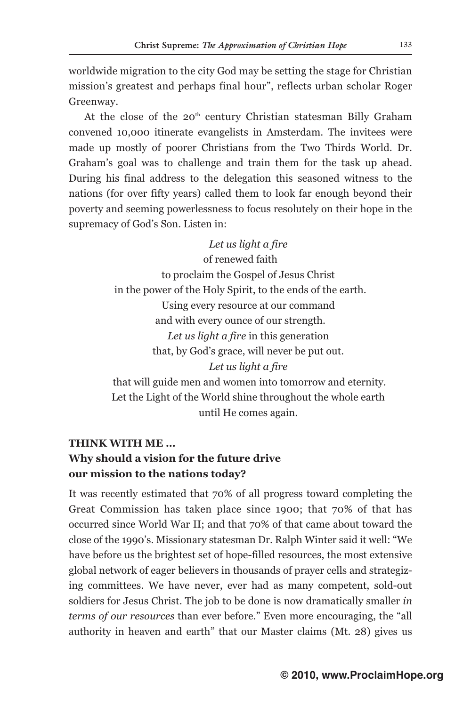worldwide migration to the city God may be setting the stage for Christian mission's greatest and perhaps final hour", reflects urban scholar Roger Greenway.

At the close of the  $20<sup>th</sup>$  century Christian statesman Billy Graham convened 10,000 itinerate evangelists in Amsterdam. The invitees were made up mostly of poorer Christians from the Two Thirds World. Dr. Graham's goal was to challenge and train them for the task up ahead. During his final address to the delegation this seasoned witness to the nations (for over fifty years) called them to look far enough beyond their poverty and seeming powerlessness to focus resolutely on their hope in the supremacy of God's Son. Listen in:

> *Let us light a fire* of renewed faith to proclaim the Gospel of Jesus Christ in the power of the Holy Spirit, to the ends of the earth. Using every resource at our command and with every ounce of our strength. *Let us light a fire* in this generation that, by God's grace, will never be put out. *Let us light a fire* that will guide men and women into tomorrow and eternity. Let the Light of the World shine throughout the whole earth until He comes again.

### **THINK WITH ME … Why should a vision for the future drive our mission to the nations today?**

It was recently estimated that 70% of all progress toward completing the Great Commission has taken place since 1900; that 70% of that has occurred since World War II; and that 70% of that came about toward the close of the 1990's. Missionary statesman Dr. Ralph Winter said it well: "We have before us the brightest set of hope-filled resources, the most extensive global network of eager believers in thousands of prayer cells and strategizing committees. We have never, ever had as many competent, sold-out soldiers for Jesus Christ. The job to be done is now dramatically smaller *in terms of our resources* than ever before." Even more encouraging, the "all authority in heaven and earth" that our Master claims (Mt. 28) gives us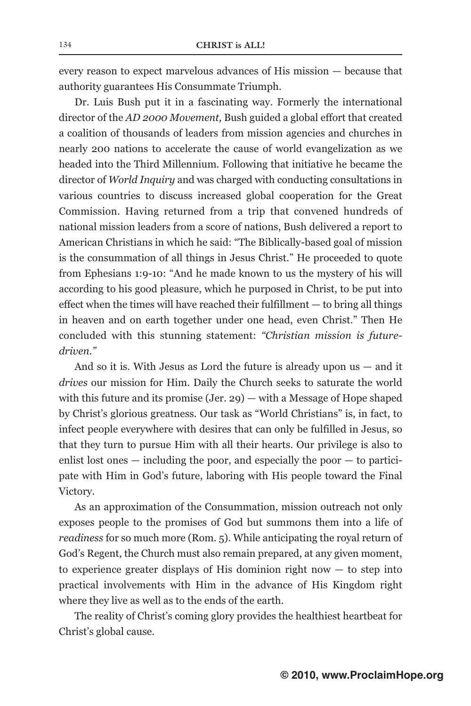every reason to expect marvelous advances of His mission — because that authority guarantees His Consummate Triumph.

Dr. Luis Bush put it in a fascinating way. Formerly the international director of the *AD 2000 Movement,* Bush guided a global effort that created a coalition of thousands of leaders from mission agencies and churches in nearly 200 nations to accelerate the cause of world evangelization as we headed into the Third Millennium. Following that initiative he became the director of *World Inquiry* and was charged with conducting consultations in various countries to discuss increased global cooperation for the Great Commission. Having returned from a trip that convened hundreds of national mission leaders from a score of nations, Bush delivered a report to American Christians in which he said: "The Biblically-based goal of mission is the consummation of all things in Jesus Christ." He proceeded to quote from Ephesians 1:9-10: "And he made known to us the mystery of his will according to his good pleasure, which he purposed in Christ, to be put into effect when the times will have reached their fulfillment — to bring all things in heaven and on earth together under one head, even Christ." Then He concluded with this stunning statement: *"Christian mission is futuredriven."*

And so it is. With Jesus as Lord the future is already upon  $us -$  and it *drives* our mission for Him. Daily the Church seeks to saturate the world with this future and its promise (Jer. 29) — with a Message of Hope shaped by Christ's glorious greatness. Our task as "World Christians" is, in fact, to infect people everywhere with desires that can only be fulfilled in Jesus, so that they turn to pursue Him with all their hearts. Our privilege is also to enlist lost ones  $-$  including the poor, and especially the poor  $-$  to participate with Him in God's future, laboring with His people toward the Final Victory.

As an approximation of the Consummation, mission outreach not only exposes people to the promises of God but summons them into a life of *readiness* for so much more (Rom. 5). While anticipating the royal return of God's Regent, the Church must also remain prepared, at any given moment, to experience greater displays of His dominion right now  $-$  to step into practical involvements with Him in the advance of His Kingdom right where they live as well as to the ends of the earth.

The reality of Christ's coming glory provides the healthiest heartbeat for Christ's global cause.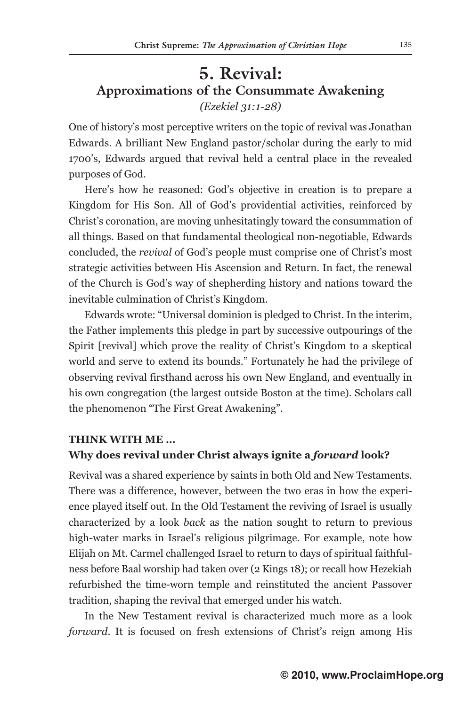## **5. Revival: Approximations of the Consummate Awakening** *(Ezekiel 31:1-28)*

One of history's most perceptive writers on the topic of revival was Jonathan Edwards. A brilliant New England pastor/scholar during the early to mid 1700's, Edwards argued that revival held a central place in the revealed purposes of God.

Here's how he reasoned: God's objective in creation is to prepare a Kingdom for His Son. All of God's providential activities, reinforced by Christ's coronation, are moving unhesitatingly toward the consummation of all things. Based on that fundamental theological non-negotiable, Edwards concluded, the *revival* of God's people must comprise one of Christ's most strategic activities between His Ascension and Return. In fact, the renewal of the Church is God's way of shepherding history and nations toward the inevitable culmination of Christ's Kingdom.

Edwards wrote: "Universal dominion is pledged to Christ. In the interim, the Father implements this pledge in part by successive outpourings of the Spirit [revival] which prove the reality of Christ's Kingdom to a skeptical world and serve to extend its bounds." Fortunately he had the privilege of observing revival firsthand across his own New England, and eventually in his own congregation (the largest outside Boston at the time). Scholars call the phenomenon "The First Great Awakening".

#### **THINK WITH ME …**

#### **Why does revival under Christ always ignite a** *forward* **look?**

Revival was a shared experience by saints in both Old and New Testaments. There was a difference, however, between the two eras in how the experience played itself out. In the Old Testament the reviving of Israel is usually characterized by a look *back* as the nation sought to return to previous high-water marks in Israel's religious pilgrimage. For example, note how Elijah on Mt. Carmel challenged Israel to return to days of spiritual faithfulness before Baal worship had taken over (2 Kings 18); or recall how Hezekiah refurbished the time-worn temple and reinstituted the ancient Passover tradition, shaping the revival that emerged under his watch.

In the New Testament revival is characterized much more as a look *forward*. It is focused on fresh extensions of Christ's reign among His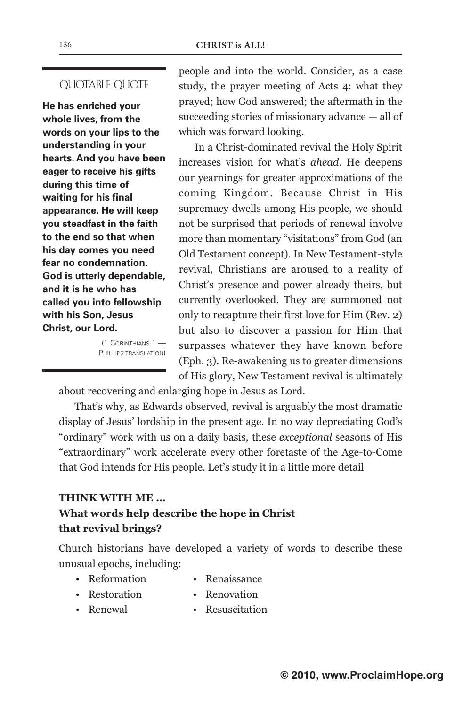#### QUOTABLE QUOTE

**He has enriched your whole lives, from the words on your lips to the understanding in your hearts. And you have been eager to receive his gifts during this time of waiting for his final appearance. He will keep you steadfast in the faith to the end so that when his day comes you need fear no condemnation. God is utterly dependable, and it is he who has called you into fellowship with his Son, Jesus Christ, our Lord.**

> (1 CORINTHIANS 1 — PHILLIPS TRANSLATION)

people and into the world. Consider, as a case study, the prayer meeting of Acts 4: what they prayed; how God answered; the aftermath in the succeeding stories of missionary advance — all of which was forward looking.

In a Christ-dominated revival the Holy Spirit increases vision for what's *ahead*. He deepens our yearnings for greater approximations of the coming Kingdom. Because Christ in His supremacy dwells among His people, we should not be surprised that periods of renewal involve more than momentary "visitations" from God (an Old Testament concept). In New Testament-style revival, Christians are aroused to a reality of Christ's presence and power already theirs, but currently overlooked. They are summoned not only to recapture their first love for Him (Rev. 2) but also to discover a passion for Him that surpasses whatever they have known before (Eph. 3). Re-awakening us to greater dimensions of His glory, New Testament revival is ultimately

about recovering and enlarging hope in Jesus as Lord.

That's why, as Edwards observed, revival is arguably the most dramatic display of Jesus' lordship in the present age. In no way depreciating God's "ordinary" work with us on a daily basis, these *exceptional* seasons of His "extraordinary" work accelerate every other foretaste of the Age-to-Come that God intends for His people. Let's study it in a little more detail

#### **THINK WITH ME …**

### **What words help describe the hope in Christ that revival brings?**

Church historians have developed a variety of words to describe these unusual epochs, including:

- Reformation
- Renaissance
- Restoration
- Renovation
- Renewal • Resuscitation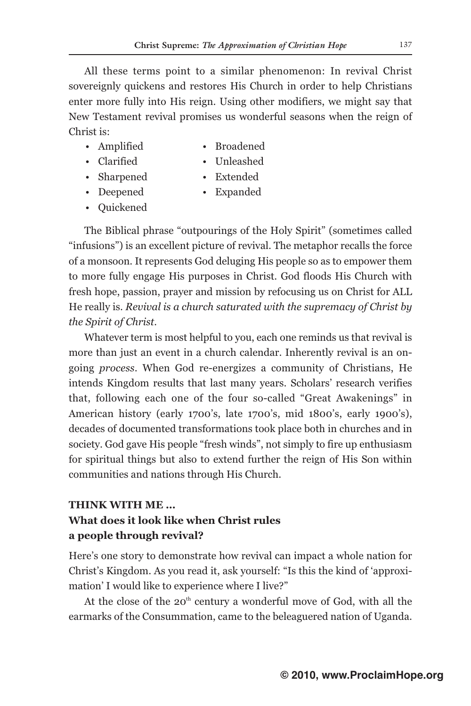All these terms point to a similar phenomenon: In revival Christ sovereignly quickens and restores His Church in order to help Christians enter more fully into His reign. Using other modifiers, we might say that New Testament revival promises us wonderful seasons when the reign of Christ is:

- Amplified
- Broadened
- Clarified
- Unleashed
- Sharpened • Deepened
- Extended
- Expanded
- Quickened
- 

The Biblical phrase "outpourings of the Holy Spirit" (sometimes called "infusions") is an excellent picture of revival. The metaphor recalls the force of a monsoon. It represents God deluging His people so as to empower them to more fully engage His purposes in Christ. God floods His Church with fresh hope, passion, prayer and mission by refocusing us on Christ for ALL He really is. *Revival is a church saturated with the supremacy of Christ by the Spirit of Christ.*

Whatever term is most helpful to you, each one reminds us that revival is more than just an event in a church calendar. Inherently revival is an ongoing *process*. When God re-energizes a community of Christians, He intends Kingdom results that last many years. Scholars' research verifies that, following each one of the four so-called "Great Awakenings" in American history (early 1700's, late 1700's, mid 1800's, early 1900's), decades of documented transformations took place both in churches and in society. God gave His people "fresh winds", not simply to fire up enthusiasm for spiritual things but also to extend further the reign of His Son within communities and nations through His Church.

### **THINK WITH ME … What does it look like when Christ rules a people through revival?**

Here's one story to demonstrate how revival can impact a whole nation for Christ's Kingdom. As you read it, ask yourself: "Is this the kind of 'approximation' I would like to experience where I live?"

At the close of the  $20<sup>th</sup>$  century a wonderful move of God, with all the earmarks of the Consummation, came to the beleaguered nation of Uganda.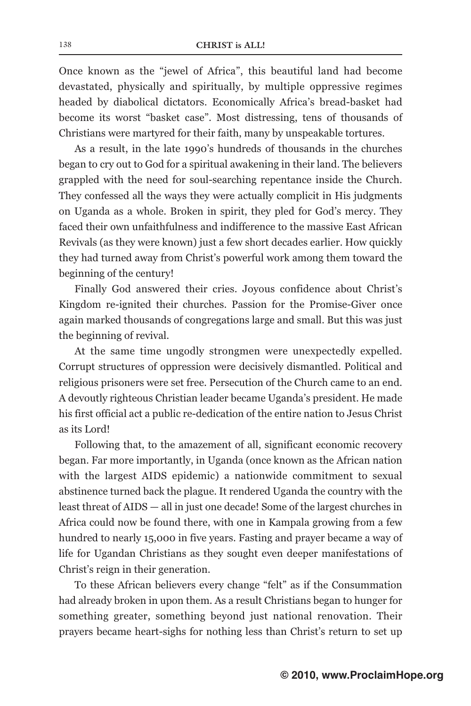Once known as the "jewel of Africa", this beautiful land had become devastated, physically and spiritually, by multiple oppressive regimes headed by diabolical dictators. Economically Africa's bread-basket had become its worst "basket case". Most distressing, tens of thousands of Christians were martyred for their faith, many by unspeakable tortures.

As a result, in the late 1990's hundreds of thousands in the churches began to cry out to God for a spiritual awakening in their land. The believers grappled with the need for soul-searching repentance inside the Church. They confessed all the ways they were actually complicit in His judgments on Uganda as a whole. Broken in spirit, they pled for God's mercy. They faced their own unfaithfulness and indifference to the massive East African Revivals (as they were known) just a few short decades earlier. How quickly they had turned away from Christ's powerful work among them toward the beginning of the century!

Finally God answered their cries. Joyous confidence about Christ's Kingdom re-ignited their churches. Passion for the Promise-Giver once again marked thousands of congregations large and small. But this was just the beginning of revival.

At the same time ungodly strongmen were unexpectedly expelled. Corrupt structures of oppression were decisively dismantled. Political and religious prisoners were set free. Persecution of the Church came to an end. A devoutly righteous Christian leader became Uganda's president. He made his first official act a public re-dedication of the entire nation to Jesus Christ as its Lord!

Following that, to the amazement of all, significant economic recovery began. Far more importantly, in Uganda (once known as the African nation with the largest AIDS epidemic) a nationwide commitment to sexual abstinence turned back the plague. It rendered Uganda the country with the least threat of AIDS — all in just one decade! Some of the largest churches in Africa could now be found there, with one in Kampala growing from a few hundred to nearly 15,000 in five years. Fasting and prayer became a way of life for Ugandan Christians as they sought even deeper manifestations of Christ's reign in their generation.

To these African believers every change "felt" as if the Consummation had already broken in upon them. As a result Christians began to hunger for something greater, something beyond just national renovation. Their prayers became heart-sighs for nothing less than Christ's return to set up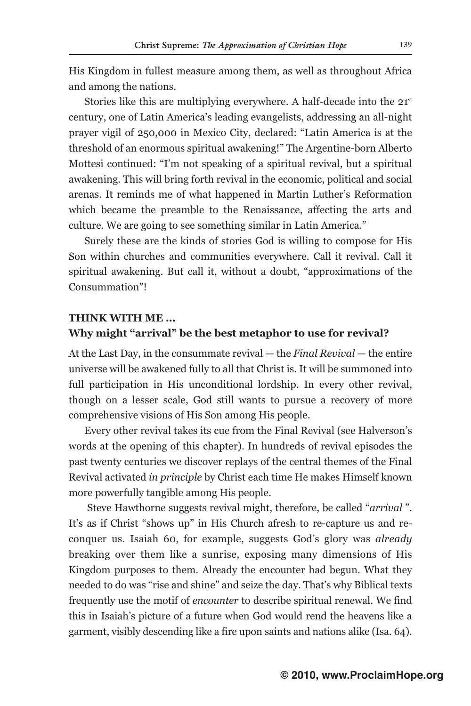His Kingdom in fullest measure among them, as well as throughout Africa and among the nations.

Stories like this are multiplying everywhere. A half-decade into the  $21<sup>st</sup>$ century, one of Latin America's leading evangelists, addressing an all-night prayer vigil of 250,000 in Mexico City, declared: "Latin America is at the threshold of an enormous spiritual awakening!" The Argentine-born Alberto Mottesi continued: "I'm not speaking of a spiritual revival, but a spiritual awakening. This will bring forth revival in the economic, political and social arenas. It reminds me of what happened in Martin Luther's Reformation which became the preamble to the Renaissance, affecting the arts and culture. We are going to see something similar in Latin America."

Surely these are the kinds of stories God is willing to compose for His Son within churches and communities everywhere. Call it revival. Call it spiritual awakening. But call it, without a doubt, "approximations of the Consummation"!

#### **THINK WITH ME …**

#### **Why might "arrival" be the best metaphor to use for revival?**

At the Last Day, in the consummate revival — the *Final Revival* — the entire universe will be awakened fully to all that Christ is. It will be summoned into full participation in His unconditional lordship. In every other revival, though on a lesser scale, God still wants to pursue a recovery of more comprehensive visions of His Son among His people.

Every other revival takes its cue from the Final Revival (see Halverson's words at the opening of this chapter). In hundreds of revival episodes the past twenty centuries we discover replays of the central themes of the Final Revival activated *in principle* by Christ each time He makes Himself known more powerfully tangible among His people.

Steve Hawthorne suggests revival might, therefore, be called "*arrival* ". It's as if Christ "shows up" in His Church afresh to re-capture us and reconquer us. Isaiah 60, for example, suggests God's glory was *already* breaking over them like a sunrise, exposing many dimensions of His Kingdom purposes to them. Already the encounter had begun. What they needed to do was "rise and shine" and seize the day. That's why Biblical texts frequently use the motif of *encounter* to describe spiritual renewal. We find this in Isaiah's picture of a future when God would rend the heavens like a garment, visibly descending like a fire upon saints and nations alike (Isa. 64).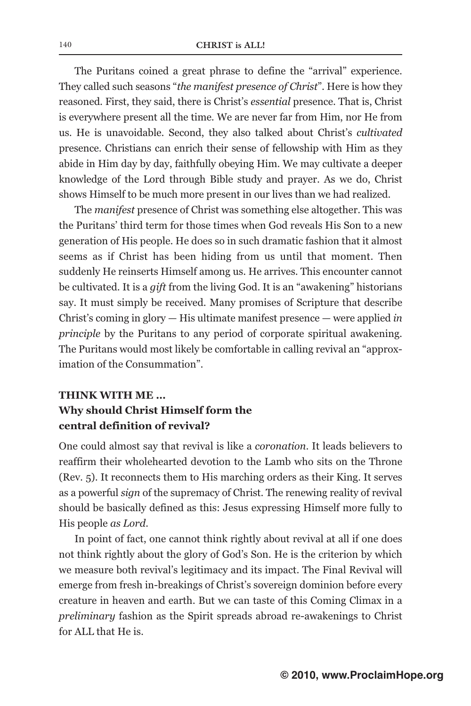The Puritans coined a great phrase to define the "arrival" experience. They called such seasons "*the manifest presence of Christ*". Here is how they reasoned. First, they said, there is Christ's *essential* presence. That is, Christ is everywhere present all the time. We are never far from Him, nor He from us. He is unavoidable. Second, they also talked about Christ's *cultivated* presence. Christians can enrich their sense of fellowship with Him as they abide in Him day by day, faithfully obeying Him. We may cultivate a deeper knowledge of the Lord through Bible study and prayer. As we do, Christ shows Himself to be much more present in our lives than we had realized.

The *manifest* presence of Christ was something else altogether. This was the Puritans' third term for those times when God reveals His Son to a new generation of His people. He does so in such dramatic fashion that it almost seems as if Christ has been hiding from us until that moment. Then suddenly He reinserts Himself among us. He arrives. This encounter cannot be cultivated. It is a *gift* from the living God. It is an "awakening" historians say. It must simply be received. Many promises of Scripture that describe Christ's coming in glory — His ultimate manifest presence — were applied *in principle* by the Puritans to any period of corporate spiritual awakening. The Puritans would most likely be comfortable in calling revival an "approximation of the Consummation".

### **THINK WITH ME … Why should Christ Himself form the central definition of revival?**

One could almost say that revival is like a *coronation*. It leads believers to reaffirm their wholehearted devotion to the Lamb who sits on the Throne (Rev. 5). It reconnects them to His marching orders as their King. It serves as a powerful *sign* of the supremacy of Christ. The renewing reality of revival should be basically defined as this: Jesus expressing Himself more fully to His people *as Lord.*

In point of fact, one cannot think rightly about revival at all if one does not think rightly about the glory of God's Son. He is the criterion by which we measure both revival's legitimacy and its impact. The Final Revival will emerge from fresh in-breakings of Christ's sovereign dominion before every creature in heaven and earth. But we can taste of this Coming Climax in a *preliminary* fashion as the Spirit spreads abroad re-awakenings to Christ for ALL that He is.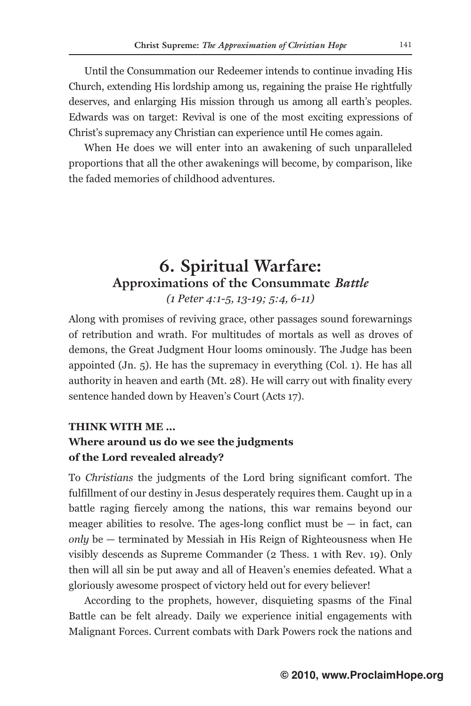Until the Consummation our Redeemer intends to continue invading His Church, extending His lordship among us, regaining the praise He rightfully deserves, and enlarging His mission through us among all earth's peoples. Edwards was on target: Revival is one of the most exciting expressions of Christ's supremacy any Christian can experience until He comes again.

When He does we will enter into an awakening of such unparalleled proportions that all the other awakenings will become, by comparison, like the faded memories of childhood adventures.

# **6. Spiritual Warfare: Approximations of the Consummate** *Battle*

*(1 Peter 4:1-5, 13-19; 5:4, 6-11)*

Along with promises of reviving grace, other passages sound forewarnings of retribution and wrath. For multitudes of mortals as well as droves of demons, the Great Judgment Hour looms ominously. The Judge has been appointed (Jn. 5). He has the supremacy in everything (Col. 1). He has all authority in heaven and earth (Mt. 28). He will carry out with finality every sentence handed down by Heaven's Court (Acts 17).

#### **THINK WITH ME …**

### **Where around us do we see the judgments of the Lord revealed already?**

To *Christians* the judgments of the Lord bring significant comfort. The fulfillment of our destiny in Jesus desperately requires them. Caught up in a battle raging fiercely among the nations, this war remains beyond our meager abilities to resolve. The ages-long conflict must be  $-$  in fact, can *only* be — terminated by Messiah in His Reign of Righteousness when He visibly descends as Supreme Commander (2 Thess. 1 with Rev. 19). Only then will all sin be put away and all of Heaven's enemies defeated. What a gloriously awesome prospect of victory held out for every believer!

According to the prophets, however, disquieting spasms of the Final Battle can be felt already. Daily we experience initial engagements with Malignant Forces. Current combats with Dark Powers rock the nations and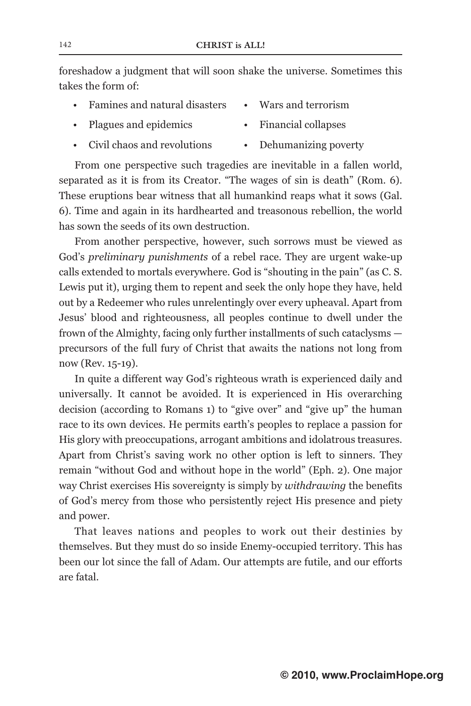foreshadow a judgment that will soon shake the universe. Sometimes this takes the form of:

- Famines and natural disasters • Wars and terrorism
- Plagues and epidemics • Financial collapses
- Civil chaos and revolutions
- Dehumanizing poverty

From one perspective such tragedies are inevitable in a fallen world, separated as it is from its Creator. "The wages of sin is death" (Rom. 6). These eruptions bear witness that all humankind reaps what it sows (Gal. 6). Time and again in its hardhearted and treasonous rebellion, the world has sown the seeds of its own destruction.

From another perspective, however, such sorrows must be viewed as God's *preliminary punishments* of a rebel race. They are urgent wake-up calls extended to mortals everywhere. God is "shouting in the pain" (as C. S. Lewis put it), urging them to repent and seek the only hope they have, held out by a Redeemer who rules unrelentingly over every upheaval. Apart from Jesus' blood and righteousness, all peoples continue to dwell under the frown of the Almighty, facing only further installments of such cataclysms precursors of the full fury of Christ that awaits the nations not long from now (Rev. 15-19).

In quite a different way God's righteous wrath is experienced daily and universally. It cannot be avoided. It is experienced in His overarching decision (according to Romans 1) to "give over" and "give up" the human race to its own devices. He permits earth's peoples to replace a passion for His glory with preoccupations, arrogant ambitions and idolatrous treasures. Apart from Christ's saving work no other option is left to sinners. They remain "without God and without hope in the world" (Eph. 2). One major way Christ exercises His sovereignty is simply by *withdrawing* the benefits of God's mercy from those who persistently reject His presence and piety and power.

That leaves nations and peoples to work out their destinies by themselves. But they must do so inside Enemy-occupied territory. This has been our lot since the fall of Adam. Our attempts are futile, and our efforts are fatal.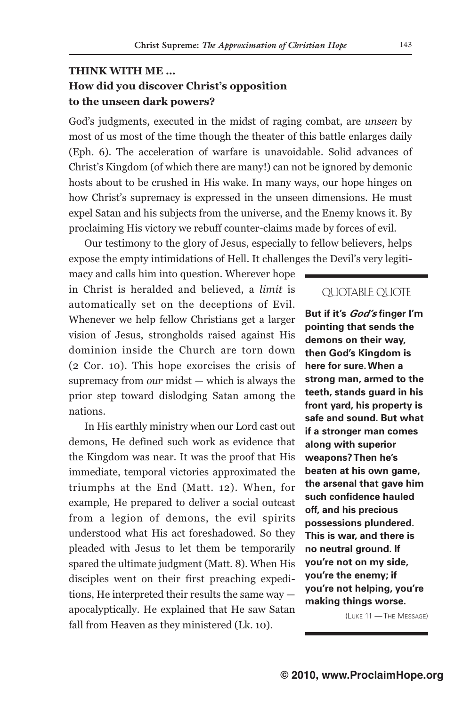### **THINK WITH ME … How did you discover Christ's opposition to the unseen dark powers?**

God's judgments, executed in the midst of raging combat, are *unseen* by most of us most of the time though the theater of this battle enlarges daily (Eph. 6). The acceleration of warfare is unavoidable. Solid advances of Christ's Kingdom (of which there are many!) can not be ignored by demonic hosts about to be crushed in His wake. In many ways, our hope hinges on how Christ's supremacy is expressed in the unseen dimensions. He must expel Satan and his subjects from the universe, and the Enemy knows it. By proclaiming His victory we rebuff counter-claims made by forces of evil.

Our testimony to the glory of Jesus, especially to fellow believers, helps expose the empty intimidations of Hell. It challenges the Devil's very legiti-

macy and calls him into question. Wherever hope in Christ is heralded and believed, a *limit* is automatically set on the deceptions of Evil. Whenever we help fellow Christians get a larger vision of Jesus, strongholds raised against His dominion inside the Church are torn down (2 Cor. 10). This hope exorcises the crisis of supremacy from *our* midst — which is always the prior step toward dislodging Satan among the nations.

In His earthly ministry when our Lord cast out demons, He defined such work as evidence that the Kingdom was near. It was the proof that His immediate, temporal victories approximated the triumphs at the End (Matt. 12). When, for example, He prepared to deliver a social outcast from a legion of demons, the evil spirits understood what His act foreshadowed. So they pleaded with Jesus to let them be temporarily spared the ultimate judgment (Matt. 8). When His disciples went on their first preaching expeditions, He interpreted their results the same way apocalyptically. He explained that He saw Satan fall from Heaven as they ministered (Lk. 10).

#### QUOTABLE QUOTE

**But if it's** *God's* **finger I'm pointing that sends the demons on their way, then God's Kingdom is here for sure.When a strong man, armed to the teeth, stands guard in his front yard, his property is safe and sound. But what if a stronger man comes along with superior weapons?Then he's beaten at his own game, the arsenal that gave him such confidence hauled off, and his precious possessions plundered. This is war, and there is no neutral ground. If you're not on my side, you're the enemy; if you're not helping, you're making things worse.**

(LUKE 11 —THE MESSAGE)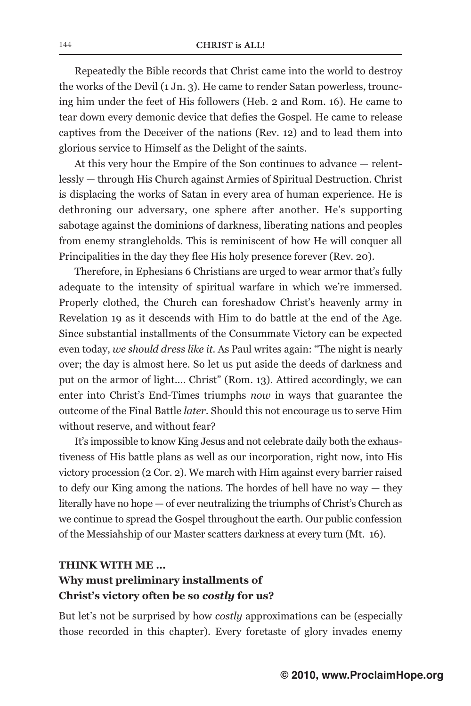Repeatedly the Bible records that Christ came into the world to destroy the works of the Devil (1 Jn. 3). He came to render Satan powerless, trouncing him under the feet of His followers (Heb. 2 and Rom. 16). He came to tear down every demonic device that defies the Gospel. He came to release captives from the Deceiver of the nations (Rev. 12) and to lead them into glorious service to Himself as the Delight of the saints.

At this very hour the Empire of the Son continues to advance — relentlessly — through His Church against Armies of Spiritual Destruction. Christ is displacing the works of Satan in every area of human experience. He is dethroning our adversary, one sphere after another. He's supporting sabotage against the dominions of darkness, liberating nations and peoples from enemy strangleholds. This is reminiscent of how He will conquer all Principalities in the day they flee His holy presence forever (Rev. 20).

Therefore, in Ephesians 6 Christians are urged to wear armor that's fully adequate to the intensity of spiritual warfare in which we're immersed. Properly clothed, the Church can foreshadow Christ's heavenly army in Revelation 19 as it descends with Him to do battle at the end of the Age. Since substantial installments of the Consummate Victory can be expected even today, *we should dress like it.* As Paul writes again: "The night is nearly over; the day is almost here. So let us put aside the deeds of darkness and put on the armor of light.... Christ" (Rom. 13). Attired accordingly, we can enter into Christ's End-Times triumphs *now* in ways that guarantee the outcome of the Final Battle *later*. Should this not encourage us to serve Him without reserve, and without fear?

It's impossible to know King Jesus and not celebrate daily both the exhaustiveness of His battle plans as well as our incorporation, right now, into His victory procession (2 Cor. 2). We march with Him against every barrier raised to defy our King among the nations. The hordes of hell have no way  $-$  they literally have no hope — of ever neutralizing the triumphs of Christ's Church as we continue to spread the Gospel throughout the earth. Our public confession of the Messiahship of our Master scatters darkness at every turn (Mt. 16).

#### **THINK WITH ME …**

### **Why must preliminary installments of Christ's victory often be so** *costly* **for us?**

But let's not be surprised by how *costly* approximations can be (especially those recorded in this chapter). Every foretaste of glory invades enemy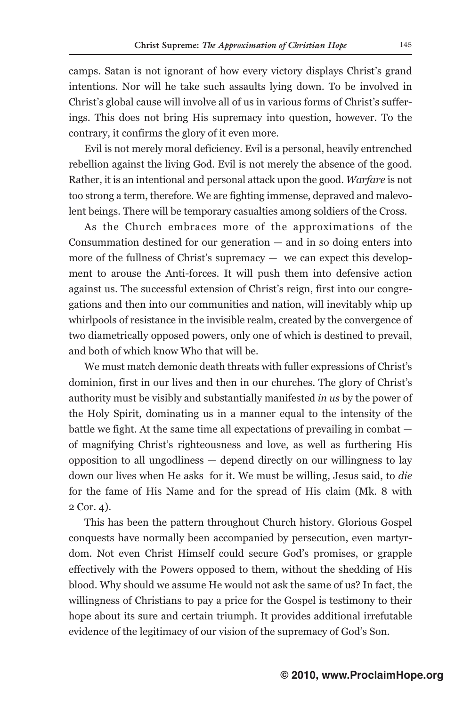camps. Satan is not ignorant of how every victory displays Christ's grand intentions. Nor will he take such assaults lying down. To be involved in Christ's global cause will involve all of us in various forms of Christ's sufferings. This does not bring His supremacy into question, however. To the contrary, it confirms the glory of it even more.

Evil is not merely moral deficiency. Evil is a personal, heavily entrenched rebellion against the living God. Evil is not merely the absence of the good. Rather, it is an intentional and personal attack upon the good. *Warfare* is not too strong a term, therefore. We are fighting immense, depraved and malevolent beings. There will be temporary casualties among soldiers of the Cross.

As the Church embraces more of the approximations of the Consummation destined for our generation  $-$  and in so doing enters into more of the fullness of Christ's supremacy  $-$  we can expect this development to arouse the Anti-forces. It will push them into defensive action against us. The successful extension of Christ's reign, first into our congregations and then into our communities and nation, will inevitably whip up whirlpools of resistance in the invisible realm, created by the convergence of two diametrically opposed powers, only one of which is destined to prevail, and both of which know Who that will be.

We must match demonic death threats with fuller expressions of Christ's dominion, first in our lives and then in our churches. The glory of Christ's authority must be visibly and substantially manifested *in us* by the power of the Holy Spirit, dominating us in a manner equal to the intensity of the battle we fight. At the same time all expectations of prevailing in combat of magnifying Christ's righteousness and love, as well as furthering His opposition to all ungodliness — depend directly on our willingness to lay down our lives when He asks for it. We must be willing, Jesus said, to *die* for the fame of His Name and for the spread of His claim (Mk. 8 with 2 Cor. 4).

This has been the pattern throughout Church history. Glorious Gospel conquests have normally been accompanied by persecution, even martyrdom. Not even Christ Himself could secure God's promises, or grapple effectively with the Powers opposed to them, without the shedding of His blood. Why should we assume He would not ask the same of us? In fact, the willingness of Christians to pay a price for the Gospel is testimony to their hope about its sure and certain triumph. It provides additional irrefutable evidence of the legitimacy of our vision of the supremacy of God's Son.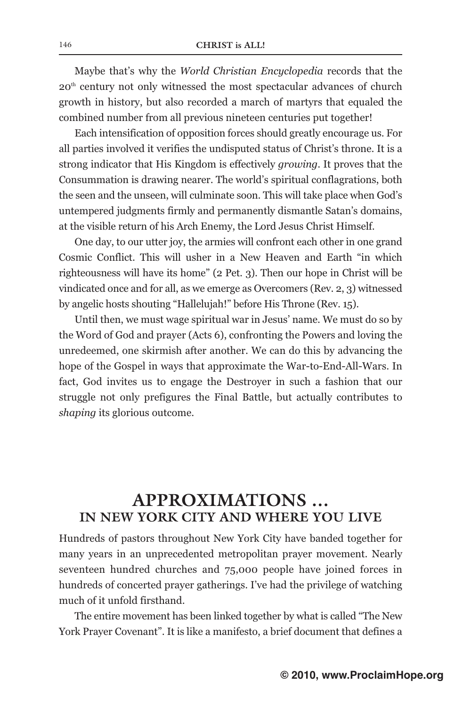Maybe that's why the *World Christian Encyclopedia* records that the 20<sup>th</sup> century not only witnessed the most spectacular advances of church growth in history, but also recorded a march of martyrs that equaled the combined number from all previous nineteen centuries put together!

Each intensification of opposition forces should greatly encourage us. For all parties involved it verifies the undisputed status of Christ's throne. It is a strong indicator that His Kingdom is effectively *growing*. It proves that the Consummation is drawing nearer. The world's spiritual conflagrations, both the seen and the unseen, will culminate soon. This will take place when God's untempered judgments firmly and permanently dismantle Satan's domains, at the visible return of his Arch Enemy, the Lord Jesus Christ Himself.

One day, to our utter joy, the armies will confront each other in one grand Cosmic Conflict. This will usher in a New Heaven and Earth "in which righteousness will have its home" (2 Pet. 3). Then our hope in Christ will be vindicated once and for all, as we emerge as Overcomers (Rev. 2, 3) witnessed by angelic hosts shouting "Hallelujah!" before His Throne (Rev. 15).

Until then, we must wage spiritual war in Jesus' name. We must do so by the Word of God and prayer (Acts 6), confronting the Powers and loving the unredeemed, one skirmish after another. We can do this by advancing the hope of the Gospel in ways that approximate the War-to-End-All-Wars. In fact, God invites us to engage the Destroyer in such a fashion that our struggle not only prefigures the Final Battle, but actually contributes to *shaping* its glorious outcome.

## **APPROXIMATIONS … IN NEW YORK CITY AND WHERE YOU LIVE**

Hundreds of pastors throughout New York City have banded together for many years in an unprecedented metropolitan prayer movement. Nearly seventeen hundred churches and 75,000 people have joined forces in hundreds of concerted prayer gatherings. I've had the privilege of watching much of it unfold firsthand.

The entire movement has been linked together by what is called "The New York Prayer Covenant". It is like a manifesto, a brief document that defines a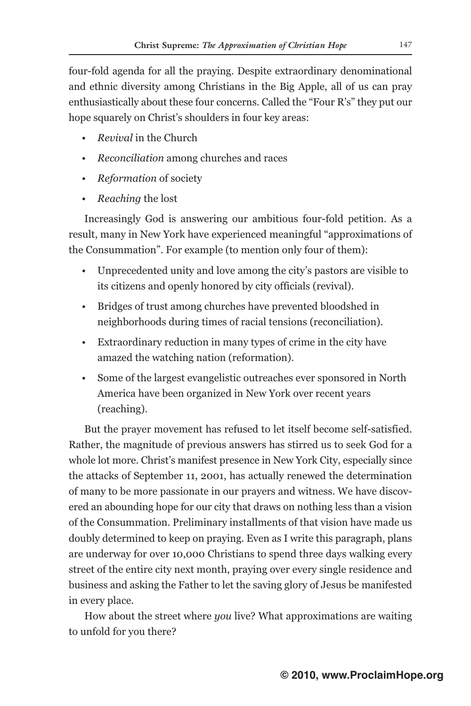four-fold agenda for all the praying. Despite extraordinary denominational and ethnic diversity among Christians in the Big Apple, all of us can pray enthusiastically about these four concerns. Called the "Four R's" they put our hope squarely on Christ's shoulders in four key areas:

- *Revival* in the Church
- *Reconciliation* among churches and races
- *Reformation* of society
- *Reaching* the lost

Increasingly God is answering our ambitious four-fold petition. As a result, many in New York have experienced meaningful "approximations of the Consummation". For example (to mention only four of them):

- Unprecedented unity and love among the city's pastors are visible to its citizens and openly honored by city officials (revival).
- Bridges of trust among churches have prevented bloodshed in neighborhoods during times of racial tensions (reconciliation).
- Extraordinary reduction in many types of crime in the city have amazed the watching nation (reformation).
- Some of the largest evangelistic outreaches ever sponsored in North America have been organized in New York over recent years (reaching).

But the prayer movement has refused to let itself become self-satisfied. Rather, the magnitude of previous answers has stirred us to seek God for a whole lot more. Christ's manifest presence in New York City, especially since the attacks of September 11, 2001, has actually renewed the determination of many to be more passionate in our prayers and witness. We have discovered an abounding hope for our city that draws on nothing less than a vision of the Consummation. Preliminary installments of that vision have made us doubly determined to keep on praying. Even as I write this paragraph, plans are underway for over 10,000 Christians to spend three days walking every street of the entire city next month, praying over every single residence and business and asking the Father to let the saving glory of Jesus be manifested in every place.

How about the street where *you* live? What approximations are waiting to unfold for you there?